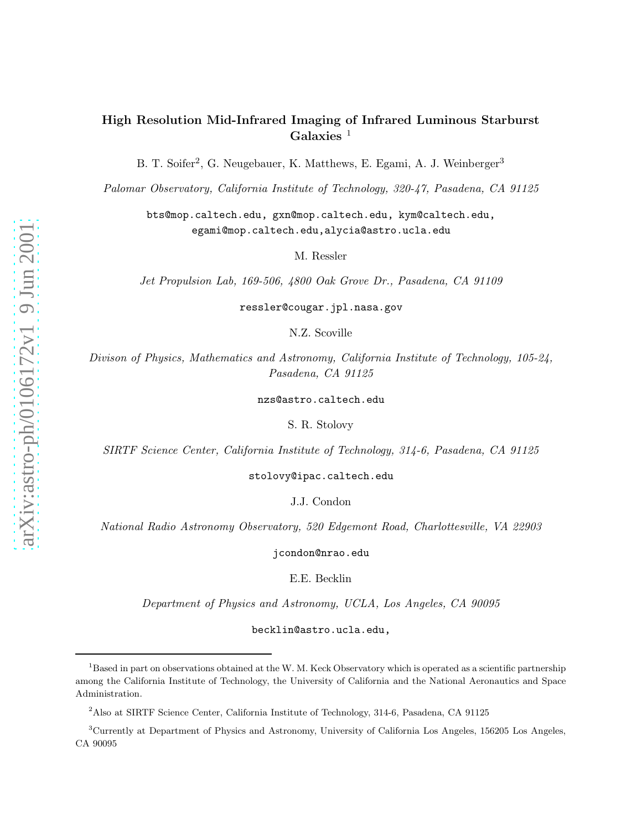# High Resolution Mid-Infrared Imaging of Infrared Luminous Starburst Galaxies  $1$

B. T. Soifer<sup>2</sup>, G. Neugebauer, K. Matthews, E. Egami, A. J. Weinberger<sup>3</sup>

*Palomar Observatory, California Institute of Technology, 320-47, Pasadena, CA 91125*

bts@mop.caltech.edu, gxn@mop.caltech.edu, kym@caltech.edu, egami@mop.caltech.edu,alycia@astro.ucla.edu

M. Ressler

*Jet Propulsion Lab, 169-506, 4800 Oak Grove Dr., Pasadena, CA 91109*

ressler@cougar.jpl.nasa.gov

N.Z. Scoville

*Divison of Physics, Mathematics and Astronomy, California Institute of Technology, 105-24, Pasadena, CA 91125*

nzs@astro.caltech.edu

S. R. Stolovy

*SIRTF Science Center, California Institute of Technology, 314-6, Pasadena, CA 91125*

stolovy@ipac.caltech.edu

J.J. Condon

*National Radio Astronomy Observatory, 520 Edgemont Road, Charlottesville, VA 22903*

jcondon@nrao.edu

E.E. Becklin

*Department of Physics and Astronomy, UCLA, Los Angeles, CA 90095*

becklin@astro.ucla.edu,

 $1B$ ased in part on observations obtained at the W. M. Keck Observatory which is operated as a scientific partnership among the California Institute of Technology, the University of California and the National Aeronautics and Space Administration.

<sup>2</sup>Also at SIRTF Science Center, California Institute of Technology, 314-6, Pasadena, CA 91125

<sup>3</sup>Currently at Department of Physics and Astronomy, University of California Los Angeles, 156205 Los Angeles, CA 90095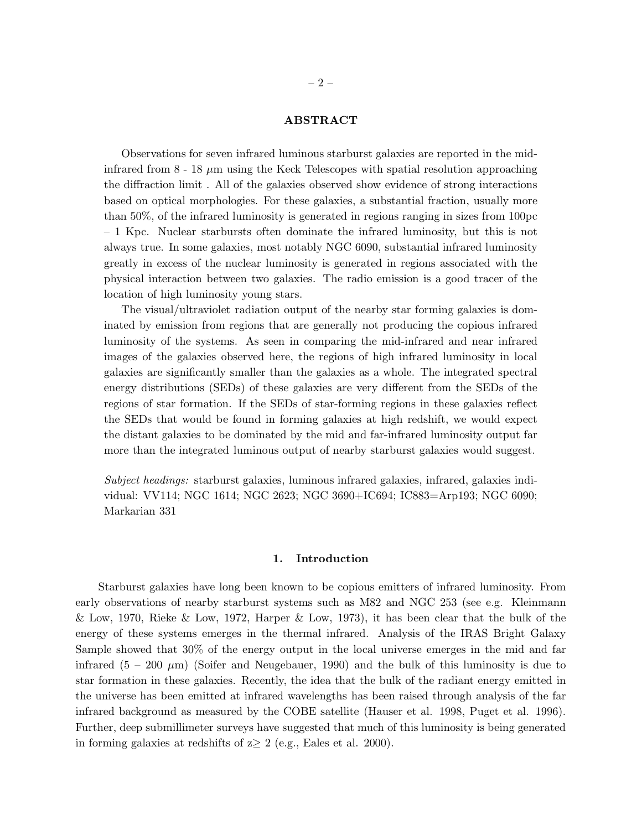# ABSTRACT

Observations for seven infrared luminous starburst galaxies are reported in the midinfrared from  $8 - 18 \mu m$  using the Keck Telescopes with spatial resolution approaching the diffraction limit . All of the galaxies observed show evidence of strong interactions based on optical morphologies. For these galaxies, a substantial fraction, usually more than 50%, of the infrared luminosity is generated in regions ranging in sizes from 100pc – 1 Kpc. Nuclear starbursts often dominate the infrared luminosity, but this is not always true. In some galaxies, most notably NGC 6090, substantial infrared luminosity greatly in excess of the nuclear luminosity is generated in regions associated with the physical interaction between two galaxies. The radio emission is a good tracer of the location of high luminosity young stars.

The visual/ultraviolet radiation output of the nearby star forming galaxies is dominated by emission from regions that are generally not producing the copious infrared luminosity of the systems. As seen in comparing the mid-infrared and near infrared images of the galaxies observed here, the regions of high infrared luminosity in local galaxies are significantly smaller than the galaxies as a whole. The integrated spectral energy distributions (SEDs) of these galaxies are very different from the SEDs of the regions of star formation. If the SEDs of star-forming regions in these galaxies reflect the SEDs that would be found in forming galaxies at high redshift, we would expect the distant galaxies to be dominated by the mid and far-infrared luminosity output far more than the integrated luminous output of nearby starburst galaxies would suggest.

*Subject headings:* starburst galaxies, luminous infrared galaxies, infrared, galaxies individual: VV114; NGC 1614; NGC 2623; NGC 3690+IC694; IC883=Arp193; NGC 6090; Markarian 331

# 1. Introduction

Starburst galaxies have long been known to be copious emitters of infrared luminosity. From early observations of nearby starburst systems such as M82 and NGC 253 (see e.g. Kleinmann & Low, 1970, Rieke & Low, 1972, Harper & Low, 1973), it has been clear that the bulk of the energy of these systems emerges in the thermal infrared. Analysis of the IRAS Bright Galaxy Sample showed that 30% of the energy output in the local universe emerges in the mid and far infrared  $(5 - 200 \mu m)$  (Soifer and Neugebauer, 1990) and the bulk of this luminosity is due to star formation in these galaxies. Recently, the idea that the bulk of the radiant energy emitted in the universe has been emitted at infrared wavelengths has been raised through analysis of the far infrared background as measured by the COBE satellite (Hauser et al. 1998, Puget et al. 1996). Further, deep submillimeter surveys have suggested that much of this luminosity is being generated in forming galaxies at redshifts of  $z \geq 2$  (e.g., Eales et al. 2000).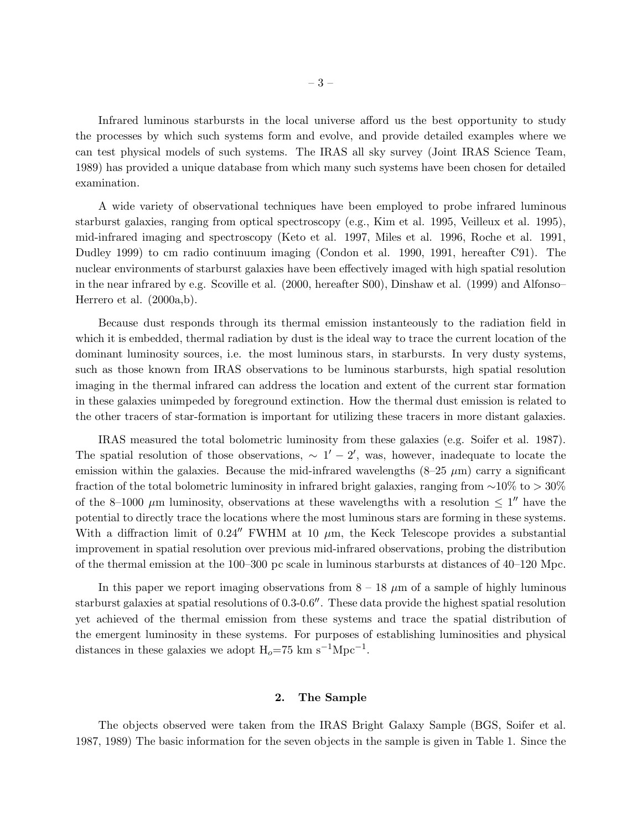Infrared luminous starbursts in the local universe afford us the best opportunity to study the processes by which such systems form and evolve, and provide detailed examples where we can test physical models of such systems. The IRAS all sky survey (Joint IRAS Science Team, 1989) has provided a unique database from which many such systems have been chosen for detailed examination.

A wide variety of observational techniques have been employed to probe infrared luminous starburst galaxies, ranging from optical spectroscopy (e.g., Kim et al. 1995, Veilleux et al. 1995), mid-infrared imaging and spectroscopy (Keto et al. 1997, Miles et al. 1996, Roche et al. 1991, Dudley 1999) to cm radio continuum imaging (Condon et al. 1990, 1991, hereafter C91). The nuclear environments of starburst galaxies have been effectively imaged with high spatial resolution in the near infrared by e.g. Scoville et al. (2000, hereafter S00), Dinshaw et al. (1999) and Alfonso– Herrero et al. (2000a,b).

Because dust responds through its thermal emission instanteously to the radiation field in which it is embedded, thermal radiation by dust is the ideal way to trace the current location of the dominant luminosity sources, i.e. the most luminous stars, in starbursts. In very dusty systems, such as those known from IRAS observations to be luminous starbursts, high spatial resolution imaging in the thermal infrared can address the location and extent of the current star formation in these galaxies unimpeded by foreground extinction. How the thermal dust emission is related to the other tracers of star-formation is important for utilizing these tracers in more distant galaxies.

IRAS measured the total bolometric luminosity from these galaxies (e.g. Soifer et al. 1987). The spatial resolution of those observations,  $\sim 1' - 2'$ , was, however, inadequate to locate the emission within the galaxies. Because the mid-infrared wavelengths  $(8-25 \mu m)$  carry a significant fraction of the total bolometric luminosity in infrared bright galaxies, ranging from ∼10% to > 30% of the 8-1000  $\mu$ m luminosity, observations at these wavelengths with a resolution  $\leq 1''$  have the potential to directly trace the locations where the most luminous stars are forming in these systems. With a diffraction limit of 0.24<sup> $\prime\prime$ </sup> FWHM at 10  $\mu$ m, the Keck Telescope provides a substantial improvement in spatial resolution over previous mid-infrared observations, probing the distribution of the thermal emission at the 100–300 pc scale in luminous starbursts at distances of 40–120 Mpc.

In this paper we report imaging observations from  $8 - 18 \mu m$  of a sample of highly luminous starburst galaxies at spatial resolutions of 0.3-0.6′′. These data provide the highest spatial resolution yet achieved of the thermal emission from these systems and trace the spatial distribution of the emergent luminosity in these systems. For purposes of establishing luminosities and physical distances in these galaxies we adopt  $H_o=75$  km s<sup>-1</sup>Mpc<sup>-1</sup>.

# 2. The Sample

The objects observed were taken from the IRAS Bright Galaxy Sample (BGS, Soifer et al. 1987, 1989) The basic information for the seven objects in the sample is given in Table 1. Since the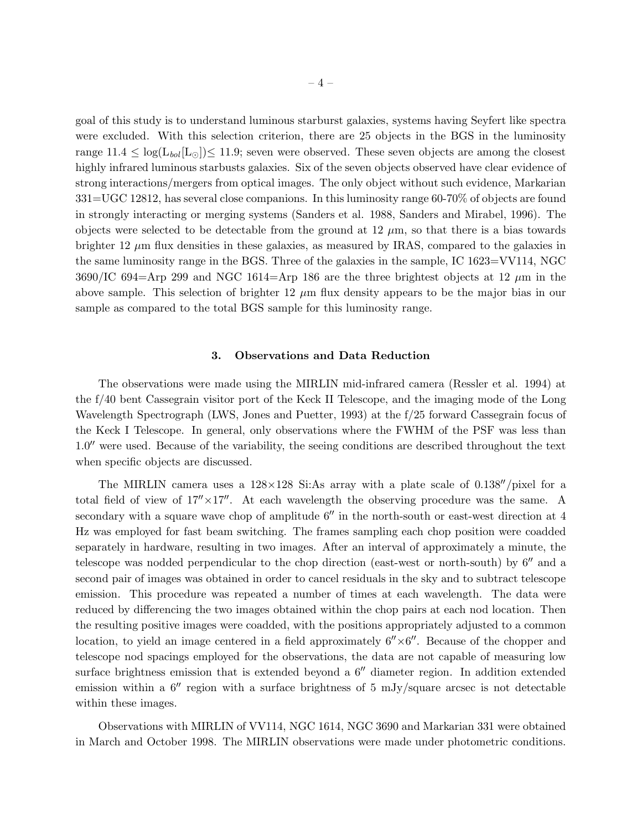goal of this study is to understand luminous starburst galaxies, systems having Seyfert like spectra were excluded. With this selection criterion, there are 25 objects in the BGS in the luminosity range  $11.4 \leq \log(L_{bol}[\text{L}_{\odot}]) \leq 11.9$ ; seven were observed. These seven objects are among the closest highly infrared luminous starbusts galaxies. Six of the seven objects observed have clear evidence of strong interactions/mergers from optical images. The only object without such evidence, Markarian 331=UGC 12812, has several close companions. In this luminosity range 60-70% of objects are found in strongly interacting or merging systems (Sanders et al. 1988, Sanders and Mirabel, 1996). The objects were selected to be detectable from the ground at  $12 \mu m$ , so that there is a bias towards brighter 12  $\mu$ m flux densities in these galaxies, as measured by IRAS, compared to the galaxies in the same luminosity range in the BGS. Three of the galaxies in the sample, IC 1623=VV114, NGC  $3690/\text{IC } 694=\text{Arp } 299$  and NGC 1614=Arp 186 are the three brightest objects at 12  $\mu$ m in the above sample. This selection of brighter 12  $\mu$ m flux density appears to be the major bias in our sample as compared to the total BGS sample for this luminosity range.

#### 3. Observations and Data Reduction

The observations were made using the MIRLIN mid-infrared camera (Ressler et al. 1994) at the f/40 bent Cassegrain visitor port of the Keck II Telescope, and the imaging mode of the Long Wavelength Spectrograph (LWS, Jones and Puetter, 1993) at the f/25 forward Cassegrain focus of the Keck I Telescope. In general, only observations where the FWHM of the PSF was less than 1.0′′ were used. Because of the variability, the seeing conditions are described throughout the text when specific objects are discussed.

The MIRLIN camera uses a  $128\times128$  Si:As array with a plate scale of 0.138<sup>''</sup>/pixel for a total field of view of  $17'' \times 17''$ . At each wavelength the observing procedure was the same. A secondary with a square wave chop of amplitude  $6''$  in the north-south or east-west direction at 4 Hz was employed for fast beam switching. The frames sampling each chop position were coadded separately in hardware, resulting in two images. After an interval of approximately a minute, the telescope was nodded perpendicular to the chop direction (east-west or north-south) by 6′′ and a second pair of images was obtained in order to cancel residuals in the sky and to subtract telescope emission. This procedure was repeated a number of times at each wavelength. The data were reduced by differencing the two images obtained within the chop pairs at each nod location. Then the resulting positive images were coadded, with the positions appropriately adjusted to a common location, to yield an image centered in a field approximately  $6'' \times 6''$ . Because of the chopper and telescope nod spacings employed for the observations, the data are not capable of measuring low surface brightness emission that is extended beyond a 6′′ diameter region. In addition extended emission within a  $6''$  region with a surface brightness of 5 mJy/square arcsec is not detectable within these images.

Observations with MIRLIN of VV114, NGC 1614, NGC 3690 and Markarian 331 were obtained in March and October 1998. The MIRLIN observations were made under photometric conditions.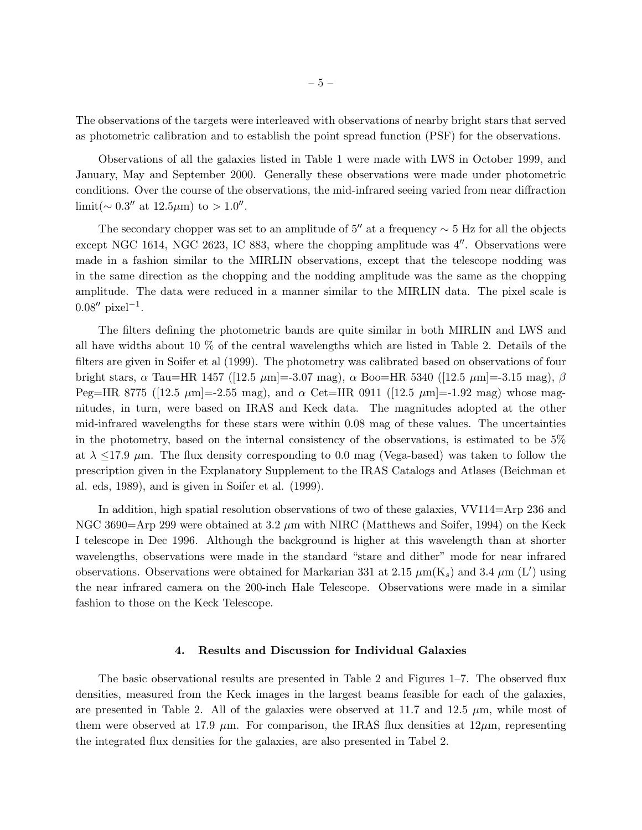The observations of the targets were interleaved with observations of nearby bright stars that served as photometric calibration and to establish the point spread function (PSF) for the observations.

Observations of all the galaxies listed in Table 1 were made with LWS in October 1999, and January, May and September 2000. Generally these observations were made under photometric conditions. Over the course of the observations, the mid-infrared seeing varied from near diffraction limit(~ 0.3'' at 12.5 $\mu$ m) to > 1.0''.

The secondary chopper was set to an amplitude of  $5''$  at a frequency  $\sim$  5 Hz for all the objects except NGC 1614, NGC 2623, IC 883, where the chopping amplitude was 4′′. Observations were made in a fashion similar to the MIRLIN observations, except that the telescope nodding was in the same direction as the chopping and the nodding amplitude was the same as the chopping amplitude. The data were reduced in a manner similar to the MIRLIN data. The pixel scale is  $0.08''$  pixel<sup>-1</sup>.

The filters defining the photometric bands are quite similar in both MIRLIN and LWS and all have widths about 10 % of the central wavelengths which are listed in Table 2. Details of the filters are given in Soifer et al (1999). The photometry was calibrated based on observations of four bright stars,  $\alpha$  Tau=HR 1457 ([12.5 μm]=-3.07 mag),  $\alpha$  Boo=HR 5340 ([12.5 μm]=-3.15 mag),  $\beta$ Peg=HR 8775 ([12.5  $\mu$ m]=-2.55 mag), and  $\alpha$  Cet=HR 0911 ([12.5  $\mu$ m]=-1.92 mag) whose magnitudes, in turn, were based on IRAS and Keck data. The magnitudes adopted at the other mid-infrared wavelengths for these stars were within 0.08 mag of these values. The uncertainties in the photometry, based on the internal consistency of the observations, is estimated to be 5% at  $\lambda \leq 17.9$   $\mu$ m. The flux density corresponding to 0.0 mag (Vega-based) was taken to follow the prescription given in the Explanatory Supplement to the IRAS Catalogs and Atlases (Beichman et al. eds, 1989), and is given in Soifer et al. (1999).

In addition, high spatial resolution observations of two of these galaxies, VV114=Arp 236 and NGC 3690=Arp 299 were obtained at 3.2  $\mu$ m with NIRC (Matthews and Soifer, 1994) on the Keck I telescope in Dec 1996. Although the background is higher at this wavelength than at shorter wavelengths, observations were made in the standard "stare and dither" mode for near infrared observations. Observations were obtained for Markarian 331 at 2.15  $\mu$ m(K<sub>s</sub>) and 3.4  $\mu$ m (L') using the near infrared camera on the 200-inch Hale Telescope. Observations were made in a similar fashion to those on the Keck Telescope.

### 4. Results and Discussion for Individual Galaxies

The basic observational results are presented in Table 2 and Figures 1–7. The observed flux densities, measured from the Keck images in the largest beams feasible for each of the galaxies, are presented in Table 2. All of the galaxies were observed at 11.7 and 12.5  $\mu$ m, while most of them were observed at 17.9  $\mu$ m. For comparison, the IRAS flux densities at 12 $\mu$ m, representing the integrated flux densities for the galaxies, are also presented in Tabel 2.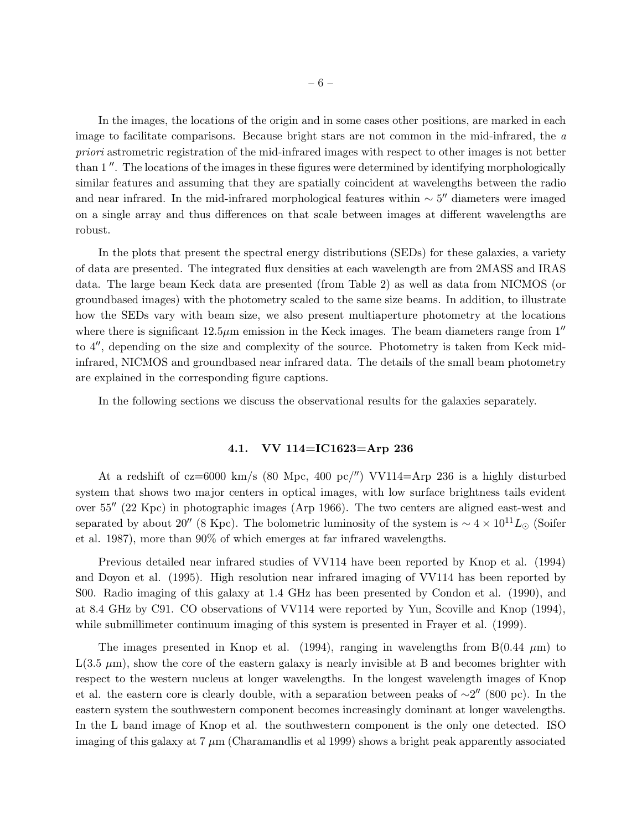In the images, the locations of the origin and in some cases other positions, are marked in each image to facilitate comparisons. Because bright stars are not common in the mid-infrared, the *a priori* astrometric registration of the mid-infrared images with respect to other images is not better than 1 ′′. The locations of the images in these figures were determined by identifying morphologically similar features and assuming that they are spatially coincident at wavelengths between the radio and near infrared. In the mid-infrared morphological features within  $\sim 5''$  diameters were imaged on a single array and thus differences on that scale between images at different wavelengths are robust.

In the plots that present the spectral energy distributions (SEDs) for these galaxies, a variety of data are presented. The integrated flux densities at each wavelength are from 2MASS and IRAS data. The large beam Keck data are presented (from Table 2) as well as data from NICMOS (or groundbased images) with the photometry scaled to the same size beams. In addition, to illustrate how the SEDs vary with beam size, we also present multiaperture photometry at the locations where there is significant  $12.5\mu$ m emission in the Keck images. The beam diameters range from  $1''$ to 4′′, depending on the size and complexity of the source. Photometry is taken from Keck midinfrared, NICMOS and groundbased near infrared data. The details of the small beam photometry are explained in the corresponding figure captions.

In the following sections we discuss the observational results for the galaxies separately.

# 4.1. VV 114=IC1623=Arp 236

At a redshift of  $cz=6000 \text{ km/s}$  (80 Mpc, 400 pc/'') VV114=Arp 236 is a highly disturbed system that shows two major centers in optical images, with low surface brightness tails evident over 55′′ (22 Kpc) in photographic images (Arp 1966). The two centers are aligned east-west and separated by about 20″ (8 Kpc). The bolometric luminosity of the system is  $\sim 4 \times 10^{11} L_{\odot}$  (Soifer et al. 1987), more than 90% of which emerges at far infrared wavelengths.

Previous detailed near infrared studies of VV114 have been reported by Knop et al. (1994) and Doyon et al. (1995). High resolution near infrared imaging of VV114 has been reported by S00. Radio imaging of this galaxy at 1.4 GHz has been presented by Condon et al. (1990), and at 8.4 GHz by C91. CO observations of VV114 were reported by Yun, Scoville and Knop (1994), while submillimeter continuum imaging of this system is presented in Frayer et al. (1999).

The images presented in Knop et al. (1994), ranging in wavelengths from  $B(0.44 \mu m)$  to  $L(3.5 \mu m)$ , show the core of the eastern galaxy is nearly invisible at B and becomes brighter with respect to the western nucleus at longer wavelengths. In the longest wavelength images of Knop et al. the eastern core is clearly double, with a separation between peaks of  $\sim 2''$  (800 pc). In the eastern system the southwestern component becomes increasingly dominant at longer wavelengths. In the L band image of Knop et al. the southwestern component is the only one detected. ISO imaging of this galaxy at  $7 \mu$ m (Charamandlis et al 1999) shows a bright peak apparently associated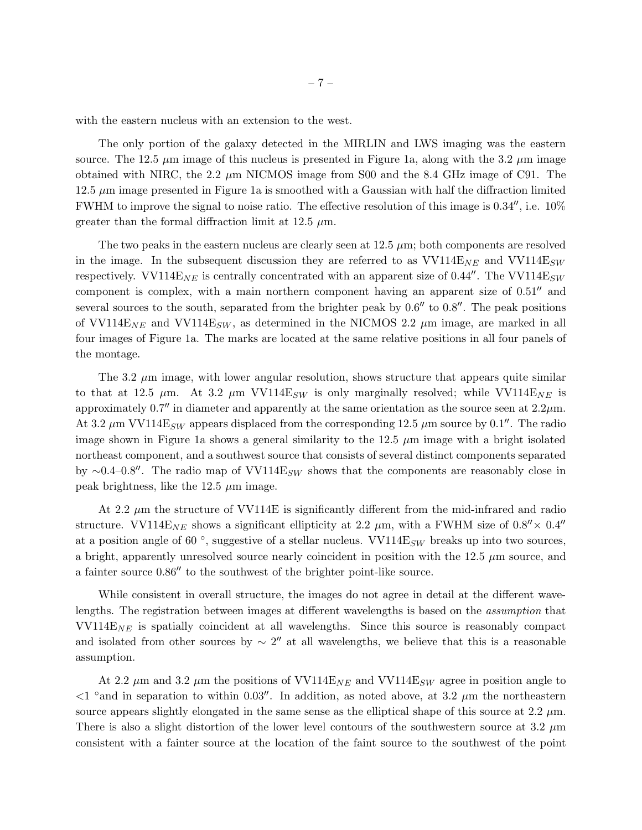with the eastern nucleus with an extension to the west.

The only portion of the galaxy detected in the MIRLIN and LWS imaging was the eastern source. The 12.5  $\mu$ m image of this nucleus is presented in Figure 1a, along with the 3.2  $\mu$ m image obtained with NIRC, the 2.2  $\mu$ m NICMOS image from S00 and the 8.4 GHz image of C91. The  $12.5 \mu m$  image presented in Figure 1a is smoothed with a Gaussian with half the diffraction limited FWHM to improve the signal to noise ratio. The effective resolution of this image is 0.34′′, i.e. 10% greater than the formal diffraction limit at 12.5  $\mu$ m.

The two peaks in the eastern nucleus are clearly seen at  $12.5 \mu m$ ; both components are resolved in the image. In the subsequent discussion they are referred to as  $VV114E_{NE}$  and  $VV114E_{SW}$ respectively. VV114 $E_{NE}$  is centrally concentrated with an apparent size of 0.44". The VV114 $E_{SW}$ component is complex, with a main northern component having an apparent size of 0.51′′ and several sources to the south, separated from the brighter peak by  $0.6''$  to  $0.8''$ . The peak positions of VV114E<sub>NE</sub> and VV114E<sub>SW</sub>, as determined in the NICMOS 2.2  $\mu$ m image, are marked in all four images of Figure 1a. The marks are located at the same relative positions in all four panels of the montage.

The 3.2  $\mu$ m image, with lower angular resolution, shows structure that appears quite similar to that at 12.5  $\mu$ m. At 3.2  $\mu$ m VV114E<sub>SW</sub> is only marginally resolved; while VV114E<sub>NE</sub> is approximately 0.7 $\prime\prime$  in diameter and apparently at the same orientation as the source seen at 2.2 $\mu$ m. At 3.2  $\mu$ m VV114E<sub>SW</sub> appears displaced from the corresponding 12.5  $\mu$ m source by 0.1''. The radio image shown in Figure 1a shows a general similarity to the 12.5  $\mu$ m image with a bright isolated northeast component, and a southwest source that consists of several distinct components separated by ∼0.4–0.8″. The radio map of VV114E<sub>SW</sub> shows that the components are reasonably close in peak brightness, like the 12.5  $\mu$ m image.

At 2.2  $\mu$ m the structure of VV114E is significantly different from the mid-infrared and radio structure. VV114E<sub>NE</sub> shows a significant ellipticity at 2.2  $\mu$ m, with a FWHM size of 0.8<sup>''</sup> × 0.4<sup>''</sup> at a position angle of 60 $\degree$ , suggestive of a stellar nucleus. VV114E<sub>SW</sub> breaks up into two sources, a bright, apparently unresolved source nearly coincident in position with the  $12.5 \mu m$  source, and a fainter source 0.86′′ to the southwest of the brighter point-like source.

While consistent in overall structure, the images do not agree in detail at the different wavelengths. The registration between images at different wavelengths is based on the *assumption* that  $VV114E_{NE}$  is spatially coincident at all wavelengths. Since this source is reasonably compact and isolated from other sources by  $\sim 2''$  at all wavelengths, we believe that this is a reasonable assumption.

At 2.2  $\mu$ m and 3.2  $\mu$ m the positions of VV114E<sub>NE</sub> and VV114E<sub>SW</sub> agree in position angle to  $\langle 1 \rangle$  and in separation to within 0.03<sup>''</sup>. In addition, as noted above, at 3.2  $\mu$ m the northeastern source appears slightly elongated in the same sense as the elliptical shape of this source at 2.2  $\mu$ m. There is also a slight distortion of the lower level contours of the southwestern source at 3.2  $\mu$ m consistent with a fainter source at the location of the faint source to the southwest of the point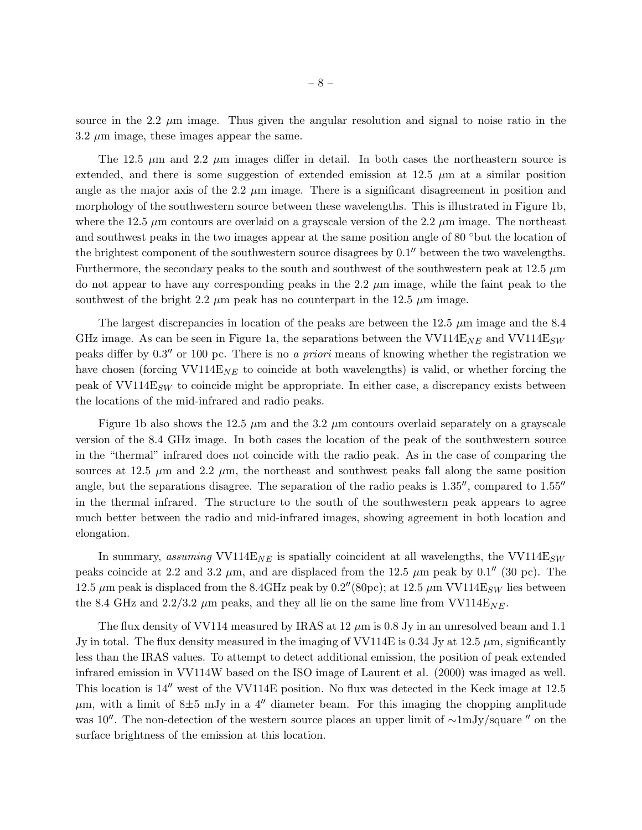source in the 2.2  $\mu$ m image. Thus given the angular resolution and signal to noise ratio in the  $3.2 \mu m$  image, these images appear the same.

The 12.5  $\mu$ m and 2.2  $\mu$ m images differ in detail. In both cases the northeastern source is extended, and there is some suggestion of extended emission at  $12.5 \mu m$  at a similar position angle as the major axis of the 2.2  $\mu$ m image. There is a significant disagreement in position and morphology of the southwestern source between these wavelengths. This is illustrated in Figure 1b, where the 12.5  $\mu$ m contours are overlaid on a grayscale version of the 2.2  $\mu$ m image. The northeast and southwest peaks in the two images appear at the same position angle of 80 °but the location of the brightest component of the southwestern source disagrees by 0.1′′ between the two wavelengths. Furthermore, the secondary peaks to the south and southwest of the southwestern peak at  $12.5 \mu m$ do not appear to have any corresponding peaks in the 2.2  $\mu$ m image, while the faint peak to the southwest of the bright 2.2  $\mu$ m peak has no counterpart in the 12.5  $\mu$ m image.

The largest discrepancies in location of the peaks are between the 12.5  $\mu$ m image and the 8.4 GHz image. As can be seen in Figure 1a, the separations between the  $VV114E_{NE}$  and  $VV114E_{SW}$ peaks differ by 0.3′′ or 100 pc. There is no *a priori* means of knowing whether the registration we have chosen (forcing VV114 $E_{NE}$  to coincide at both wavelengths) is valid, or whether forcing the peak of  $VV114E_{SW}$  to coincide might be appropriate. In either case, a discrepancy exists between the locations of the mid-infrared and radio peaks.

Figure 1b also shows the 12.5  $\mu$ m and the 3.2  $\mu$ m contours overlaid separately on a grayscale version of the 8.4 GHz image. In both cases the location of the peak of the southwestern source in the "thermal" infrared does not coincide with the radio peak. As in the case of comparing the sources at 12.5  $\mu$ m and 2.2  $\mu$ m, the northeast and southwest peaks fall along the same position angle, but the separations disagree. The separation of the radio peaks is 1.35′′, compared to 1.55′′ in the thermal infrared. The structure to the south of the southwestern peak appears to agree much better between the radio and mid-infrared images, showing agreement in both location and elongation.

In summary, *assuming*  $VV114E_{NE}$  is spatially coincident at all wavelengths, the  $VV114E_{SW}$ peaks coincide at 2.2 and 3.2  $\mu$ m, and are displaced from the 12.5  $\mu$ m peak by 0.1'' (30 pc). The 12.5  $\mu$ m peak is displaced from the 8.4GHz peak by 0.2''(80pc); at 12.5  $\mu$ m VV114E<sub>SW</sub> lies between the 8.4 GHz and 2.2/3.2  $\mu$ m peaks, and they all lie on the same line from VV114E<sub>NE</sub>.

The flux density of VV114 measured by IRAS at  $12 \mu m$  is 0.8 Jy in an unresolved beam and 1.1 Jy in total. The flux density measured in the imaging of VV114E is 0.34 Jy at 12.5  $\mu$ m, significantly less than the IRAS values. To attempt to detect additional emission, the position of peak extended infrared emission in VV114W based on the ISO image of Laurent et al. (2000) was imaged as well. This location is 14′′ west of the VV114E position. No flux was detected in the Keck image at 12.5  $\mu$ m, with a limit of 8 $\pm$ 5 mJy in a 4<sup>"</sup> diameter beam. For this imaging the chopping amplitude was 10′′. The non-detection of the western source places an upper limit of ∼1mJy/square ′′ on the surface brightness of the emission at this location.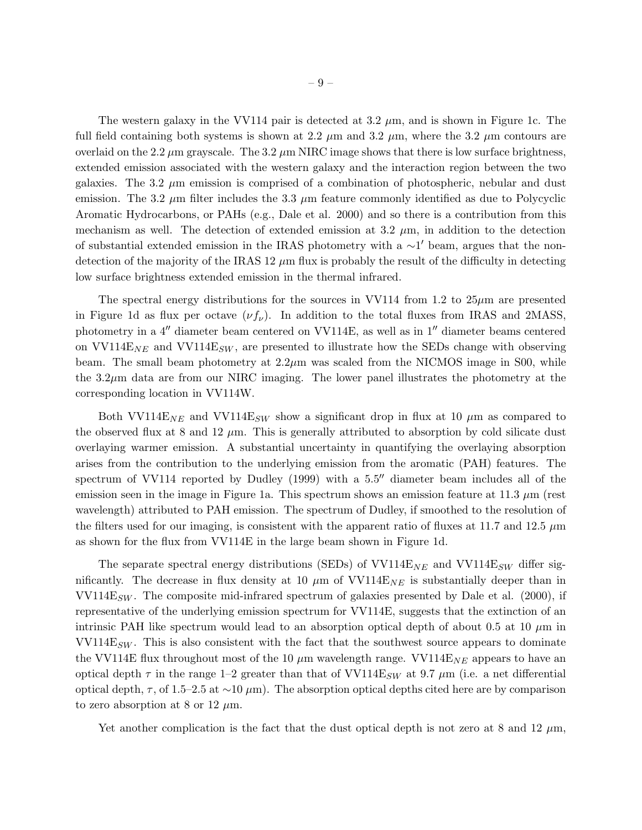The western galaxy in the VV114 pair is detected at  $3.2 \mu m$ , and is shown in Figure 1c. The full field containing both systems is shown at 2.2  $\mu$ m and 3.2  $\mu$ m, where the 3.2  $\mu$ m contours are overlaid on the 2.2  $\mu$ m grayscale. The 3.2  $\mu$ m NIRC image shows that there is low surface brightness, extended emission associated with the western galaxy and the interaction region between the two galaxies. The 3.2  $\mu$ m emission is comprised of a combination of photospheric, nebular and dust emission. The 3.2  $\mu$ m filter includes the 3.3  $\mu$ m feature commonly identified as due to Polycyclic Aromatic Hydrocarbons, or PAHs (e.g., Dale et al. 2000) and so there is a contribution from this mechanism as well. The detection of extended emission at  $3.2 \mu$ m, in addition to the detection of substantial extended emission in the IRAS photometry with a ~1' beam, argues that the nondetection of the majority of the IRAS  $12 \mu m$  flux is probably the result of the difficulty in detecting low surface brightness extended emission in the thermal infrared.

The spectral energy distributions for the sources in VV114 from 1.2 to  $25\mu$ m are presented in Figure 1d as flux per octave  $(\nu f_\nu)$ . In addition to the total fluxes from IRAS and 2MASS, photometry in a 4′′ diameter beam centered on VV114E, as well as in 1′′ diameter beams centered on  $VV114E_{NE}$  and  $VV114E_{SW}$ , are presented to illustrate how the SEDs change with observing beam. The small beam photometry at  $2.2\mu$ m was scaled from the NICMOS image in S00, while the 3.2µm data are from our NIRC imaging. The lower panel illustrates the photometry at the corresponding location in VV114W.

Both VV114 $E_{NE}$  and VV114 $E_{SW}$  show a significant drop in flux at 10  $\mu$ m as compared to the observed flux at 8 and 12  $\mu$ m. This is generally attributed to absorption by cold silicate dust overlaying warmer emission. A substantial uncertainty in quantifying the overlaying absorption arises from the contribution to the underlying emission from the aromatic (PAH) features. The spectrum of VV114 reported by Dudley (1999) with a 5.5″ diameter beam includes all of the emission seen in the image in Figure 1a. This spectrum shows an emission feature at 11.3  $\mu$ m (rest wavelength) attributed to PAH emission. The spectrum of Dudley, if smoothed to the resolution of the filters used for our imaging, is consistent with the apparent ratio of fluxes at 11.7 and 12.5  $\mu$ m as shown for the flux from VV114E in the large beam shown in Figure 1d.

The separate spectral energy distributions (SEDs) of  $VV114E_{NE}$  and  $VV114E_{SW}$  differ significantly. The decrease in flux density at 10  $\mu$ m of VV114E<sub>NE</sub> is substantially deeper than in  $VV114E_{SW}$ . The composite mid-infrared spectrum of galaxies presented by Dale et al. (2000), if representative of the underlying emission spectrum for VV114E, suggests that the extinction of an intrinsic PAH like spectrum would lead to an absorption optical depth of about 0.5 at 10  $\mu$ m in  $\text{VV114E}_{SW}$ . This is also consistent with the fact that the southwest source appears to dominate the VV114E flux throughout most of the 10  $\mu$ m wavelength range. VV114E<sub>NE</sub> appears to have an optical depth  $\tau$  in the range 1–2 greater than that of VV114E<sub>SW</sub> at 9.7  $\mu$ m (i.e. a net differential optical depth,  $\tau$ , of 1.5–2.5 at ∼10  $\mu$ m). The absorption optical depths cited here are by comparison to zero absorption at 8 or 12  $\mu$ m.

Yet another complication is the fact that the dust optical depth is not zero at 8 and 12  $\mu$ m,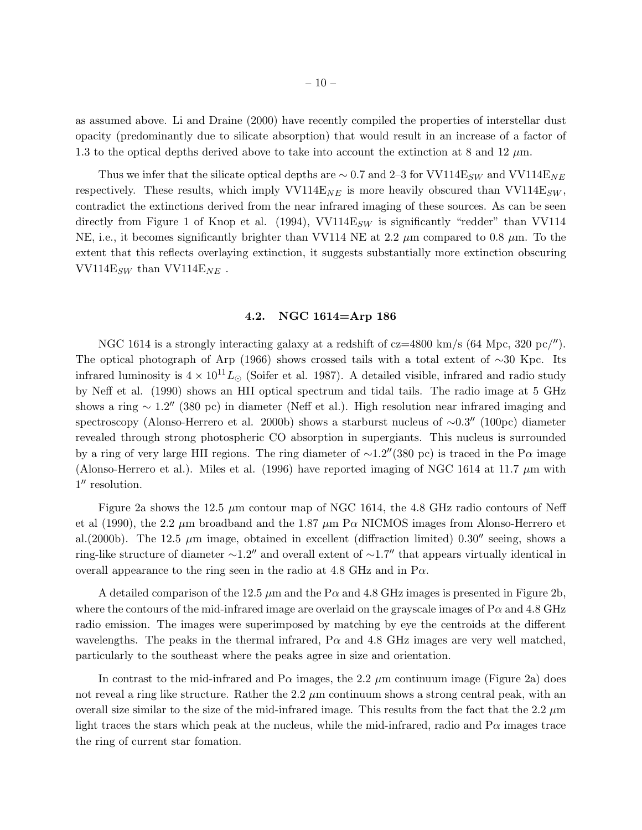as assumed above. Li and Draine (2000) have recently compiled the properties of interstellar dust opacity (predominantly due to silicate absorption) that would result in an increase of a factor of 1.3 to the optical depths derived above to take into account the extinction at 8 and 12  $\mu$ m.

Thus we infer that the silicate optical depths are  $\sim 0.7$  and 2–3 for VV114E<sub>SW</sub> and VV114E<sub>NE</sub> respectively. These results, which imply VV114E<sub>NE</sub> is more heavily obscured than VV114E<sub>SW</sub>, contradict the extinctions derived from the near infrared imaging of these sources. As can be seen directly from Figure 1 of Knop et al. (1994), VV114 $E_{SW}$  is significantly "redder" than VV114 NE, i.e., it becomes significantly brighter than VV114 NE at 2.2  $\mu$ m compared to 0.8  $\mu$ m. To the extent that this reflects overlaying extinction, it suggests substantially more extinction obscuring VV114 $\mathrm{E}_{SW}$  than VV114 $\mathrm{E}_{NE}$ .

# 4.2. NGC 1614=Arp 186

NGC 1614 is a strongly interacting galaxy at a redshift of  $cz=4800 \text{ km/s}$  (64 Mpc, 320 pc/''). The optical photograph of Arp (1966) shows crossed tails with a total extent of ∼30 Kpc. Its infrared luminosity is  $4 \times 10^{11} L_{\odot}$  (Soifer et al. 1987). A detailed visible, infrared and radio study by Neff et al. (1990) shows an HII optical spectrum and tidal tails. The radio image at 5 GHz shows a ring  $\sim 1.2''$  (380 pc) in diameter (Neff et al.). High resolution near infrared imaging and spectroscopy (Alonso-Herrero et al. 2000b) shows a starburst nucleus of ~0.3″ (100pc) diameter revealed through strong photospheric CO absorption in supergiants. This nucleus is surrounded by a ring of very large HII regions. The ring diameter of  $\sim$ 1.2″(380 pc) is traced in the P $\alpha$  image (Alonso-Herrero et al.). Miles et al. (1996) have reported imaging of NGC 1614 at 11.7  $\mu$ m with 1 ′′ resolution.

Figure 2a shows the 12.5  $\mu$ m contour map of NGC 1614, the 4.8 GHz radio contours of Neff et al (1990), the 2.2  $\mu$ m broadband and the 1.87  $\mu$ m P $\alpha$  NICMOS images from Alonso-Herrero et al.(2000b). The 12.5  $\mu$ m image, obtained in excellent (diffraction limited) 0.30<sup> $\prime\prime$ </sup> seeing, shows a ring-like structure of diameter  $\sim$ 1.2″ and overall extent of  $\sim$ 1.7″ that appears virtually identical in overall appearance to the ring seen in the radio at 4.8 GHz and in  $Pa$ .

A detailed comparison of the 12.5  $\mu$ m and the P $\alpha$  and 4.8 GHz images is presented in Figure 2b, where the contours of the mid-infrared image are overlaid on the grayscale images of  $P\alpha$  and 4.8 GHz radio emission. The images were superimposed by matching by eye the centroids at the different wavelengths. The peaks in the thermal infrared,  $P\alpha$  and 4.8 GHz images are very well matched, particularly to the southeast where the peaks agree in size and orientation.

In contrast to the mid-infrared and P $\alpha$  images, the 2.2  $\mu$ m continuum image (Figure 2a) does not reveal a ring like structure. Rather the 2.2  $\mu$ m continuum shows a strong central peak, with an overall size similar to the size of the mid-infrared image. This results from the fact that the 2.2  $\mu$ m light traces the stars which peak at the nucleus, while the mid-infrared, radio and  $P\alpha$  images trace the ring of current star fomation.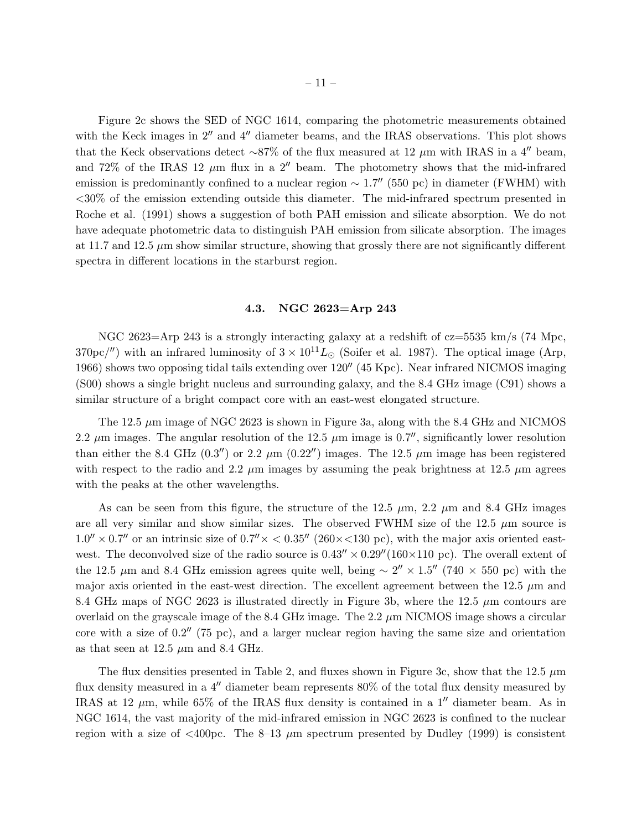Figure 2c shows the SED of NGC 1614, comparing the photometric measurements obtained with the Keck images in  $2''$  and  $4''$  diameter beams, and the IRAS observations. This plot shows that the Keck observations detect ~87% of the flux measured at 12  $\mu$ m with IRAS in a 4″ beam, and 72% of the IRAS 12  $\mu$ m flux in a 2<sup>"</sup> beam. The photometry shows that the mid-infrared emission is predominantly confined to a nuclear region  $\sim 1.7''$  (550 pc) in diameter (FWHM) with <30% of the emission extending outside this diameter. The mid-infrared spectrum presented in Roche et al. (1991) shows a suggestion of both PAH emission and silicate absorption. We do not have adequate photometric data to distinguish PAH emission from silicate absorption. The images at 11.7 and 12.5 µm show similar structure, showing that grossly there are not significantly different spectra in different locations in the starburst region.

#### 4.3. NGC 2623=Arp 243

NGC 2623=Arp 243 is a strongly interacting galaxy at a redshift of  $cz=5535$  km/s (74 Mpc, 370pc/'') with an infrared luminosity of  $3 \times 10^{11} L_{\odot}$  (Soifer et al. 1987). The optical image (Arp, 1966) shows two opposing tidal tails extending over 120′′ (45 Kpc). Near infrared NICMOS imaging (S00) shows a single bright nucleus and surrounding galaxy, and the 8.4 GHz image (C91) shows a similar structure of a bright compact core with an east-west elongated structure.

The 12.5  $\mu$ m image of NGC 2623 is shown in Figure 3a, along with the 8.4 GHz and NICMOS 2.2  $\mu$ m images. The angular resolution of the 12.5  $\mu$ m image is 0.7'', significantly lower resolution than either the 8.4 GHz  $(0.3'')$  or 2.2  $\mu$ m  $(0.22'')$  images. The 12.5  $\mu$ m image has been registered with respect to the radio and 2.2  $\mu$ m images by assuming the peak brightness at 12.5  $\mu$ m agrees with the peaks at the other wavelengths.

As can be seen from this figure, the structure of the 12.5  $\mu$ m, 2.2  $\mu$ m and 8.4 GHz images are all very similar and show similar sizes. The observed FWHM size of the 12.5  $\mu$ m source is  $1.0'' \times 0.7''$  or an intrinsic size of  $0.7'' \times < 0.35''$  (260×<130 pc), with the major axis oriented eastwest. The deconvolved size of the radio source is  $0.43'' \times 0.29'' (160 \times 110 \text{ pc})$ . The overall extent of the 12.5  $\mu$ m and 8.4 GHz emission agrees quite well, being ~ 2" × 1.5" (740 × 550 pc) with the major axis oriented in the east-west direction. The excellent agreement between the 12.5  $\mu$ m and 8.4 GHz maps of NGC 2623 is illustrated directly in Figure 3b, where the 12.5  $\mu$ m contours are overlaid on the grayscale image of the 8.4 GHz image. The 2.2  $\mu$ m NICMOS image shows a circular core with a size of  $0.2''$  (75 pc), and a larger nuclear region having the same size and orientation as that seen at 12.5  $\mu$ m and 8.4 GHz.

The flux densities presented in Table 2, and fluxes shown in Figure 3c, show that the 12.5  $\mu$ m flux density measured in a 4′′ diameter beam represents 80% of the total flux density measured by IRAS at 12  $\mu$ m, while 65% of the IRAS flux density is contained in a 1<sup> $\mu$ </sup> diameter beam. As in NGC 1614, the vast majority of the mid-infrared emission in NGC 2623 is confined to the nuclear region with a size of  $\langle 400pc$ . The 8–13  $\mu$ m spectrum presented by Dudley (1999) is consistent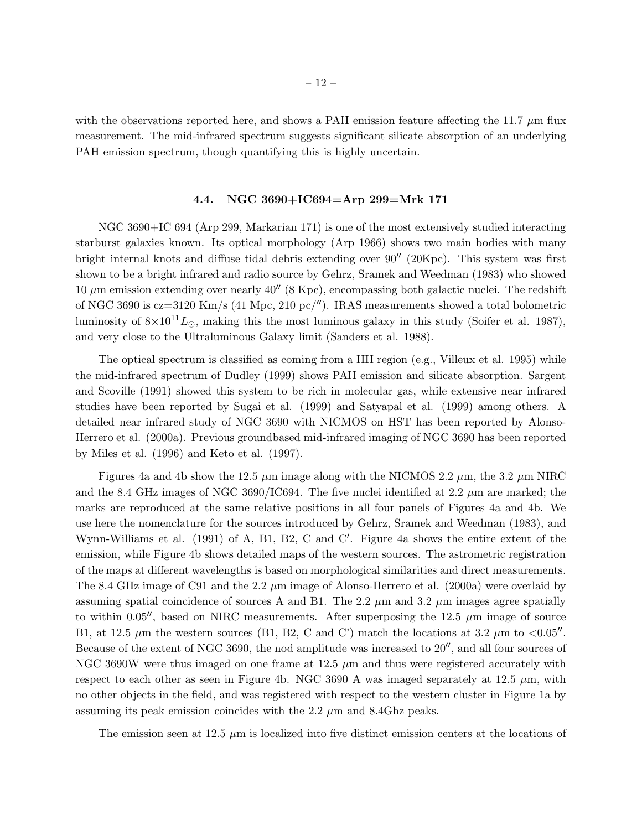with the observations reported here, and shows a PAH emission feature affecting the 11.7  $\mu$ m flux measurement. The mid-infrared spectrum suggests significant silicate absorption of an underlying PAH emission spectrum, though quantifying this is highly uncertain.

#### 4.4. NGC 3690+IC694=Arp 299=Mrk 171

NGC 3690+IC 694 (Arp 299, Markarian 171) is one of the most extensively studied interacting starburst galaxies known. Its optical morphology (Arp 1966) shows two main bodies with many bright internal knots and diffuse tidal debris extending over 90′′ (20Kpc). This system was first shown to be a bright infrared and radio source by Gehrz, Sramek and Weedman (1983) who showed 10  $\mu$ m emission extending over nearly 40'' (8 Kpc), encompassing both galactic nuclei. The redshift of NGC 3690 is cz=3120 Km/s (41 Mpc, 210 pc/′′). IRAS measurements showed a total bolometric luminosity of  $8\times10^{11}L_{\odot}$ , making this the most luminous galaxy in this study (Soifer et al. 1987), and very close to the Ultraluminous Galaxy limit (Sanders et al. 1988).

The optical spectrum is classified as coming from a HII region (e.g., Villeux et al. 1995) while the mid-infrared spectrum of Dudley (1999) shows PAH emission and silicate absorption. Sargent and Scoville (1991) showed this system to be rich in molecular gas, while extensive near infrared studies have been reported by Sugai et al. (1999) and Satyapal et al. (1999) among others. A detailed near infrared study of NGC 3690 with NICMOS on HST has been reported by Alonso-Herrero et al. (2000a). Previous groundbased mid-infrared imaging of NGC 3690 has been reported by Miles et al. (1996) and Keto et al. (1997).

Figures 4a and 4b show the 12.5  $\mu$ m image along with the NICMOS 2.2  $\mu$ m, the 3.2  $\mu$ m NIRC and the 8.4 GHz images of NGC 3690/IC694. The five nuclei identified at 2.2  $\mu$ m are marked; the marks are reproduced at the same relative positions in all four panels of Figures 4a and 4b. We use here the nomenclature for the sources introduced by Gehrz, Sramek and Weedman (1983), and Wynn-Williams et al. (1991) of A, B1, B2, C and C'. Figure 4a shows the entire extent of the emission, while Figure 4b shows detailed maps of the western sources. The astrometric registration of the maps at different wavelengths is based on morphological similarities and direct measurements. The 8.4 GHz image of C91 and the 2.2  $\mu$ m image of Alonso-Herrero et al. (2000a) were overlaid by assuming spatial coincidence of sources A and B1. The 2.2  $\mu$ m and 3.2  $\mu$ m images agree spatially to within 0.05<sup> $\prime\prime$ </sup>, based on NIRC measurements. After superposing the 12.5  $\mu$ m image of source B1, at 12.5  $\mu$ m the western sources (B1, B2, C and C') match the locations at 3.2  $\mu$ m to <0.05<sup>''</sup>. Because of the extent of NGC 3690, the nod amplitude was increased to 20′′, and all four sources of NGC 3690W were thus imaged on one frame at 12.5  $\mu$ m and thus were registered accurately with respect to each other as seen in Figure 4b. NGC 3690 A was imaged separately at 12.5  $\mu$ m, with no other objects in the field, and was registered with respect to the western cluster in Figure 1a by assuming its peak emission coincides with the 2.2  $\mu$ m and 8.4Ghz peaks.

The emission seen at 12.5  $\mu$ m is localized into five distinct emission centers at the locations of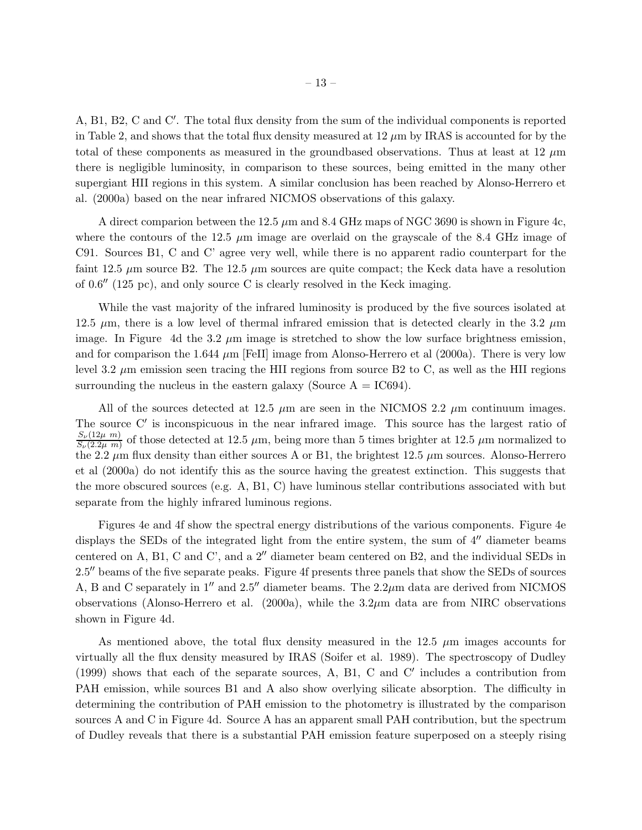A, B1, B2, C and C′ . The total flux density from the sum of the individual components is reported in Table 2, and shows that the total flux density measured at  $12 \mu m$  by IRAS is accounted for by the total of these components as measured in the groundbased observations. Thus at least at 12  $\mu$ m there is negligible luminosity, in comparison to these sources, being emitted in the many other supergiant HII regions in this system. A similar conclusion has been reached by Alonso-Herrero et al. (2000a) based on the near infrared NICMOS observations of this galaxy.

A direct comparion between the 12.5  $\mu$ m and 8.4 GHz maps of NGC 3690 is shown in Figure 4c, where the contours of the 12.5  $\mu$ m image are overlaid on the grayscale of the 8.4 GHz image of C91. Sources B1, C and C' agree very well, while there is no apparent radio counterpart for the faint 12.5  $\mu$ m source B2. The 12.5  $\mu$ m sources are quite compact; the Keck data have a resolution of 0.6′′ (125 pc), and only source C is clearly resolved in the Keck imaging.

While the vast majority of the infrared luminosity is produced by the five sources isolated at 12.5  $\mu$ m, there is a low level of thermal infrared emission that is detected clearly in the 3.2  $\mu$ m image. In Figure 4d the 3.2  $\mu$ m image is stretched to show the low surface brightness emission, and for comparison the 1.644  $\mu$ m [FeII] image from Alonso-Herrero et al (2000a). There is very low level 3.2  $\mu$ m emission seen tracing the HII regions from source B2 to C, as well as the HII regions surrounding the nucleus in the eastern galaxy (Source  $A = IC694$ ).

All of the sources detected at 12.5  $\mu$ m are seen in the NICMOS 2.2  $\mu$ m continuum images. The source C' is inconspicuous in the near infrared image. This source has the largest ratio of  $S_{\nu}(12\mu \ m)$  $\frac{S_{\nu}(12\mu m)}{S_{\nu}(2.2\mu m)}$  of those detected at 12.5  $\mu$ m, being more than 5 times brighter at 12.5  $\mu$ m normalized to the 2.2  $\mu$ m flux density than either sources A or B1, the brightest 12.5  $\mu$ m sources. Alonso-Herrero et al (2000a) do not identify this as the source having the greatest extinction. This suggests that the more obscured sources (e.g. A, B1, C) have luminous stellar contributions associated with but separate from the highly infrared luminous regions.

Figures 4e and 4f show the spectral energy distributions of the various components. Figure 4e displays the SEDs of the integrated light from the entire system, the sum of 4′′ diameter beams centered on A, B1, C and C', and a 2′′ diameter beam centered on B2, and the individual SEDs in 2.5′′ beams of the five separate peaks. Figure 4f presents three panels that show the SEDs of sources A, B and C separately in  $1''$  and  $2.5''$  diameter beams. The  $2.2\mu$ m data are derived from NICMOS observations (Alonso-Herrero et al.  $(2000a)$ , while the  $3.2\mu$ m data are from NIRC observations shown in Figure 4d.

As mentioned above, the total flux density measured in the  $12.5 \mu m$  images accounts for virtually all the flux density measured by IRAS (Soifer et al. 1989). The spectroscopy of Dudley (1999) shows that each of the separate sources, A, B1, C and C′ includes a contribution from PAH emission, while sources B1 and A also show overlying silicate absorption. The difficulty in determining the contribution of PAH emission to the photometry is illustrated by the comparison sources A and C in Figure 4d. Source A has an apparent small PAH contribution, but the spectrum of Dudley reveals that there is a substantial PAH emission feature superposed on a steeply rising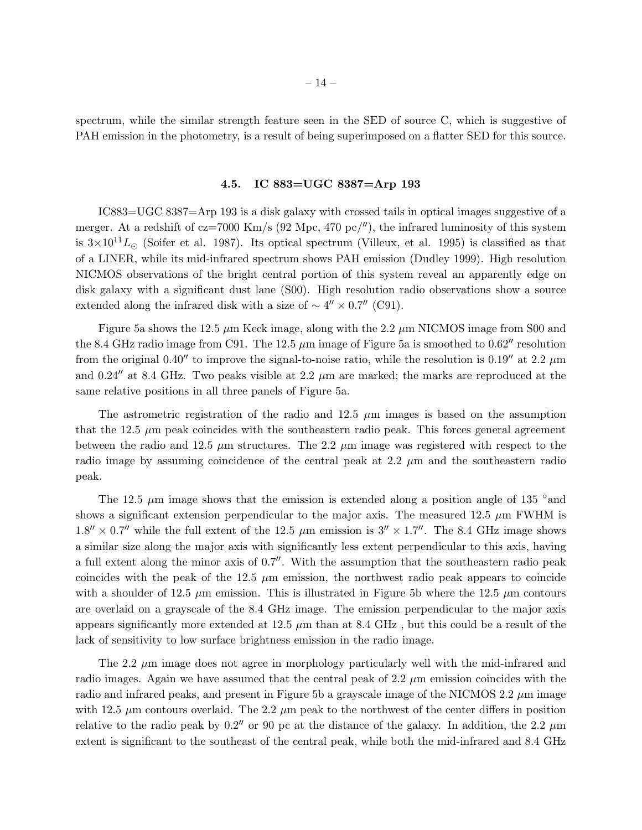spectrum, while the similar strength feature seen in the SED of source C, which is suggestive of PAH emission in the photometry, is a result of being superimposed on a flatter SED for this source.

# 4.5. IC 883=UGC 8387=Arp 193

IC883=UGC 8387=Arp 193 is a disk galaxy with crossed tails in optical images suggestive of a merger. At a redshift of cz=7000 Km/s (92 Mpc, 470 pc/''), the infrared luminosity of this system is  $3\times10^{11}L_{\odot}$  (Soifer et al. 1987). Its optical spectrum (Villeux, et al. 1995) is classified as that of a LINER, while its mid-infrared spectrum shows PAH emission (Dudley 1999). High resolution NICMOS observations of the bright central portion of this system reveal an apparently edge on disk galaxy with a significant dust lane (S00). High resolution radio observations show a source extended along the infrared disk with a size of  $\sim 4'' \times 0.7''$  (C91).

Figure 5a shows the 12.5  $\mu$ m Keck image, along with the 2.2  $\mu$ m NICMOS image from S00 and the 8.4 GHz radio image from C91. The 12.5  $\mu$ m image of Figure 5a is smoothed to 0.62<sup> $\mu$ </sup> resolution from the original 0.40<sup> $\prime\prime$ </sup> to improve the signal-to-noise ratio, while the resolution is 0.19 $\prime\prime$  at 2.2  $\mu$ m and 0.24 $^{\prime\prime}$  at 8.4 GHz. Two peaks visible at 2.2  $\mu$ m are marked; the marks are reproduced at the same relative positions in all three panels of Figure 5a.

The astrometric registration of the radio and 12.5  $\mu$ m images is based on the assumption that the 12.5  $\mu$ m peak coincides with the southeastern radio peak. This forces general agreement between the radio and 12.5  $\mu$ m structures. The 2.2  $\mu$ m image was registered with respect to the radio image by assuming coincidence of the central peak at  $2.2 \mu$ m and the southeastern radio peak.

The 12.5  $\mu$ m image shows that the emission is extended along a position angle of 135 °and shows a significant extension perpendicular to the major axis. The measured 12.5  $\mu$ m FWHM is  $1.8'' \times 0.7''$  while the full extent of the 12.5  $\mu$ m emission is  $3'' \times 1.7''$ . The 8.4 GHz image shows a similar size along the major axis with significantly less extent perpendicular to this axis, having a full extent along the minor axis of 0.7′′. With the assumption that the southeastern radio peak coincides with the peak of the 12.5  $\mu$ m emission, the northwest radio peak appears to coincide with a shoulder of 12.5  $\mu$ m emission. This is illustrated in Figure 5b where the 12.5  $\mu$ m contours are overlaid on a grayscale of the 8.4 GHz image. The emission perpendicular to the major axis appears significantly more extended at 12.5  $\mu$ m than at 8.4 GHz, but this could be a result of the lack of sensitivity to low surface brightness emission in the radio image.

The 2.2  $\mu$ m image does not agree in morphology particularly well with the mid-infrared and radio images. Again we have assumed that the central peak of  $2.2 \mu m$  emission coincides with the radio and infrared peaks, and present in Figure 5b a grayscale image of the NICMOS 2.2  $\mu$ m image with 12.5  $\mu$ m contours overlaid. The 2.2  $\mu$ m peak to the northwest of the center differs in position relative to the radio peak by 0.2<sup> $\prime\prime$ </sup> or 90 pc at the distance of the galaxy. In addition, the 2.2  $\mu$ m extent is significant to the southeast of the central peak, while both the mid-infrared and 8.4 GHz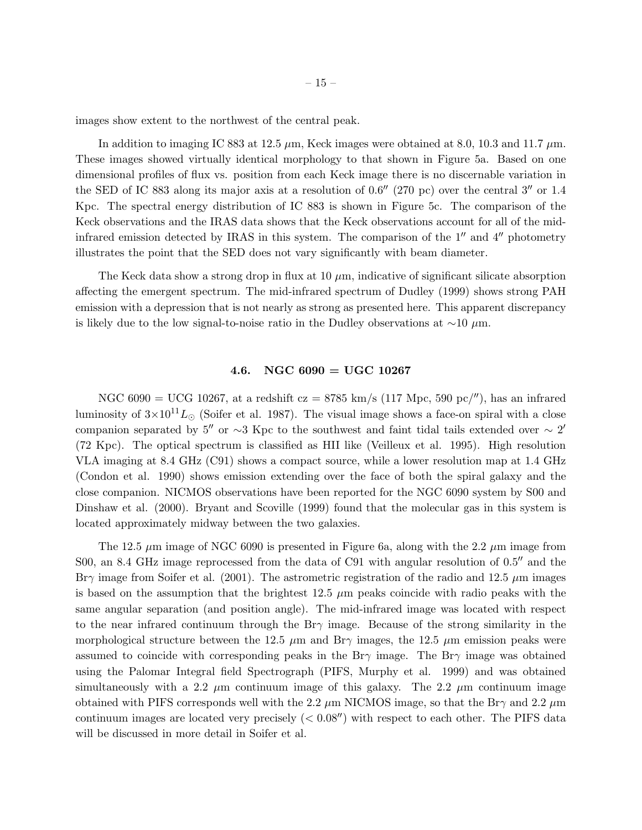images show extent to the northwest of the central peak.

In addition to imaging IC 883 at 12.5  $\mu$ m, Keck images were obtained at 8.0, 10.3 and 11.7  $\mu$ m. These images showed virtually identical morphology to that shown in Figure 5a. Based on one dimensional profiles of flux vs. position from each Keck image there is no discernable variation in the SED of IC 883 along its major axis at a resolution of 0.6′′ (270 pc) over the central 3′′ or 1.4 Kpc. The spectral energy distribution of IC 883 is shown in Figure 5c. The comparison of the Keck observations and the IRAS data shows that the Keck observations account for all of the midinfrared emission detected by IRAS in this system. The comparison of the 1′′ and 4′′ photometry illustrates the point that the SED does not vary significantly with beam diameter.

The Keck data show a strong drop in flux at  $10 \mu m$ , indicative of significant silicate absorption affecting the emergent spectrum. The mid-infrared spectrum of Dudley (1999) shows strong PAH emission with a depression that is not nearly as strong as presented here. This apparent discrepancy is likely due to the low signal-to-noise ratio in the Dudley observations at  $\sim$ 10  $\mu$ m.

### 4.6. NGC  $6090 = UGC$  10267

NGC 6090 = UCG 10267, at a redshift  $cz = 8785 \text{ km/s}$  (117 Mpc, 590 pc/''), has an infrared luminosity of  $3\times10^{11}L_{\odot}$  (Soifer et al. 1987). The visual image shows a face-on spiral with a close companion separated by 5<sup>''</sup> or ∼3 Kpc to the southwest and faint tidal tails extended over  $\sim 2'$ (72 Kpc). The optical spectrum is classified as HII like (Veilleux et al. 1995). High resolution VLA imaging at 8.4 GHz (C91) shows a compact source, while a lower resolution map at 1.4 GHz (Condon et al. 1990) shows emission extending over the face of both the spiral galaxy and the close companion. NICMOS observations have been reported for the NGC 6090 system by S00 and Dinshaw et al. (2000). Bryant and Scoville (1999) found that the molecular gas in this system is located approximately midway between the two galaxies.

The 12.5  $\mu$ m image of NGC 6090 is presented in Figure 6a, along with the 2.2  $\mu$ m image from S00, an 8.4 GHz image reprocessed from the data of C91 with angular resolution of  $0.5''$  and the Br $\gamma$  image from Soifer et al. (2001). The astrometric registration of the radio and 12.5  $\mu$ m images is based on the assumption that the brightest  $12.5 \mu m$  peaks coincide with radio peaks with the same angular separation (and position angle). The mid-infrared image was located with respect to the near infrared continuum through the Br $\gamma$  image. Because of the strong similarity in the morphological structure between the 12.5  $\mu$ m and Br $\gamma$  images, the 12.5  $\mu$ m emission peaks were assumed to coincide with corresponding peaks in the Br $\gamma$  image. The Br $\gamma$  image was obtained using the Palomar Integral field Spectrograph (PIFS, Murphy et al. 1999) and was obtained simultaneously with a 2.2  $\mu$ m continuum image of this galaxy. The 2.2  $\mu$ m continuum image obtained with PIFS corresponds well with the 2.2  $\mu$ m NICMOS image, so that the Br $\gamma$  and 2.2  $\mu$ m continuum images are located very precisely  $(< 0.08'$ ) with respect to each other. The PIFS data will be discussed in more detail in Soifer et al.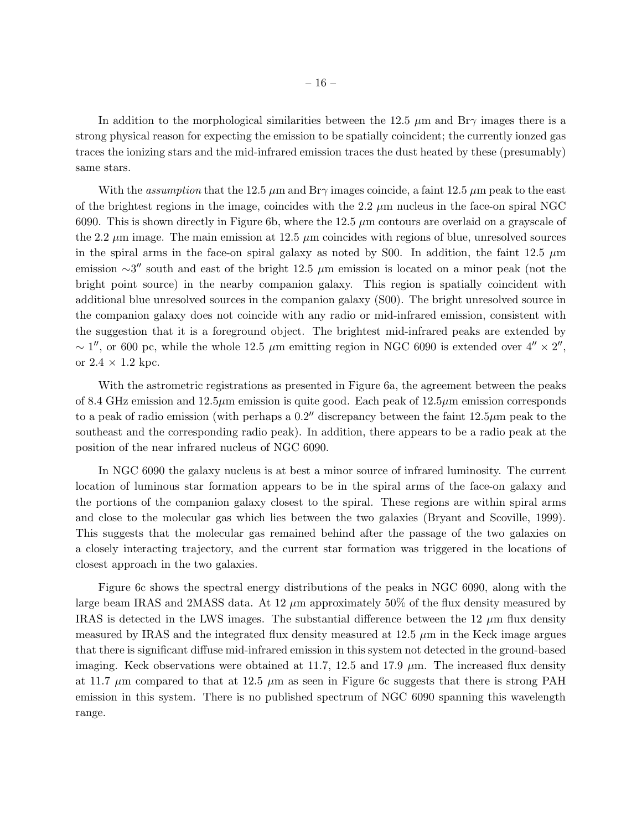In addition to the morphological similarities between the 12.5  $\mu$ m and Br $\gamma$  images there is a strong physical reason for expecting the emission to be spatially coincident; the currently ionzed gas traces the ionizing stars and the mid-infrared emission traces the dust heated by these (presumably) same stars.

With the *assumption* that the 12.5  $\mu$ m and Br $\gamma$  images coincide, a faint 12.5  $\mu$ m peak to the east of the brightest regions in the image, coincides with the 2.2  $\mu$ m nucleus in the face-on spiral NGC 6090. This is shown directly in Figure 6b, where the 12.5  $\mu$ m contours are overlaid on a grayscale of the 2.2  $\mu$ m image. The main emission at 12.5  $\mu$ m coincides with regions of blue, unresolved sources in the spiral arms in the face-on spiral galaxy as noted by S00. In addition, the faint 12.5  $\mu$ m emission  $\sim$ 3″ south and east of the bright 12.5  $\mu$ m emission is located on a minor peak (not the bright point source) in the nearby companion galaxy. This region is spatially coincident with additional blue unresolved sources in the companion galaxy (S00). The bright unresolved source in the companion galaxy does not coincide with any radio or mid-infrared emission, consistent with the suggestion that it is a foreground object. The brightest mid-infrared peaks are extended by ~ 1'', or 600 pc, while the whole 12.5  $\mu$ m emitting region in NGC 6090 is extended over  $4'' \times 2''$ , or  $2.4 \times 1.2$  kpc.

With the astrometric registrations as presented in Figure 6a, the agreement between the peaks of 8.4 GHz emission and  $12.5\mu$ m emission is quite good. Each peak of  $12.5\mu$ m emission corresponds to a peak of radio emission (with perhaps a  $0.2<sup>''</sup>$  discrepancy between the faint  $12.5\mu$ m peak to the southeast and the corresponding radio peak). In addition, there appears to be a radio peak at the position of the near infrared nucleus of NGC 6090.

In NGC 6090 the galaxy nucleus is at best a minor source of infrared luminosity. The current location of luminous star formation appears to be in the spiral arms of the face-on galaxy and the portions of the companion galaxy closest to the spiral. These regions are within spiral arms and close to the molecular gas which lies between the two galaxies (Bryant and Scoville, 1999). This suggests that the molecular gas remained behind after the passage of the two galaxies on a closely interacting trajectory, and the current star formation was triggered in the locations of closest approach in the two galaxies.

Figure 6c shows the spectral energy distributions of the peaks in NGC 6090, along with the large beam IRAS and 2MASS data. At 12  $\mu$ m approximately 50% of the flux density measured by IRAS is detected in the LWS images. The substantial difference between the  $12 \mu m$  flux density measured by IRAS and the integrated flux density measured at  $12.5 \mu m$  in the Keck image argues that there is significant diffuse mid-infrared emission in this system not detected in the ground-based imaging. Keck observations were obtained at 11.7, 12.5 and 17.9  $\mu$ m. The increased flux density at 11.7  $\mu$ m compared to that at 12.5  $\mu$ m as seen in Figure 6c suggests that there is strong PAH emission in this system. There is no published spectrum of NGC 6090 spanning this wavelength range.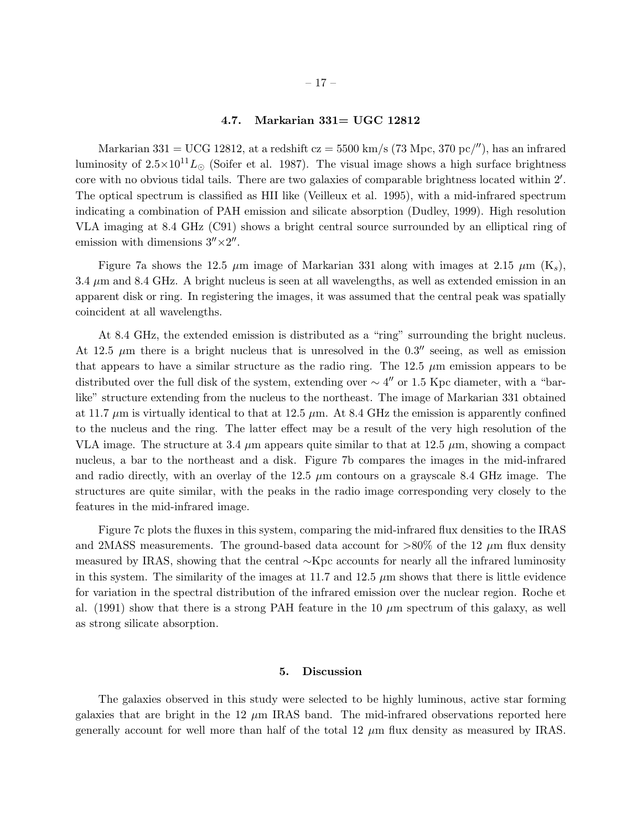### 4.7. Markarian 331= UGC 12812

Markarian 331 = UCG 12812, at a redshift  $cz = 5500 \text{ km/s}$  (73 Mpc, 370 pc/''), has an infrared luminosity of  $2.5 \times 10^{11} L_{\odot}$  (Soifer et al. 1987). The visual image shows a high surface brightness core with no obvious tidal tails. There are two galaxies of comparable brightness located within 2′ . The optical spectrum is classified as HII like (Veilleux et al. 1995), with a mid-infrared spectrum indicating a combination of PAH emission and silicate absorption (Dudley, 1999). High resolution VLA imaging at 8.4 GHz (C91) shows a bright central source surrounded by an elliptical ring of emission with dimensions  $3'' \times 2''$ .

Figure 7a shows the 12.5  $\mu$ m image of Markarian 331 along with images at 2.15  $\mu$ m (K<sub>s</sub>),  $3.4 \mu$ m and  $8.4 \text{ GHz}$ . A bright nucleus is seen at all wavelengths, as well as extended emission in an apparent disk or ring. In registering the images, it was assumed that the central peak was spatially coincident at all wavelengths.

At 8.4 GHz, the extended emission is distributed as a "ring" surrounding the bright nucleus. At 12.5  $\mu$ m there is a bright nucleus that is unresolved in the 0.3<sup> $\mu$ </sup> seeing, as well as emission that appears to have a similar structure as the radio ring. The 12.5  $\mu$ m emission appears to be distributed over the full disk of the system, extending over  $\sim 4''$  or 1.5 Kpc diameter, with a "barlike" structure extending from the nucleus to the northeast. The image of Markarian 331 obtained at 11.7  $\mu$ m is virtually identical to that at 12.5  $\mu$ m. At 8.4 GHz the emission is apparently confined to the nucleus and the ring. The latter effect may be a result of the very high resolution of the VLA image. The structure at 3.4  $\mu$ m appears quite similar to that at 12.5  $\mu$ m, showing a compact nucleus, a bar to the northeast and a disk. Figure 7b compares the images in the mid-infrared and radio directly, with an overlay of the 12.5  $\mu$ m contours on a grayscale 8.4 GHz image. The structures are quite similar, with the peaks in the radio image corresponding very closely to the features in the mid-infrared image.

Figure 7c plots the fluxes in this system, comparing the mid-infrared flux densities to the IRAS and 2MASS measurements. The ground-based data account for  $>80\%$  of the 12  $\mu$ m flux density measured by IRAS, showing that the central ∼Kpc accounts for nearly all the infrared luminosity in this system. The similarity of the images at 11.7 and 12.5  $\mu$ m shows that there is little evidence for variation in the spectral distribution of the infrared emission over the nuclear region. Roche et al. (1991) show that there is a strong PAH feature in the 10  $\mu$ m spectrum of this galaxy, as well as strong silicate absorption.

#### 5. Discussion

The galaxies observed in this study were selected to be highly luminous, active star forming galaxies that are bright in the 12  $\mu$ m IRAS band. The mid-infrared observations reported here generally account for well more than half of the total 12  $\mu$ m flux density as measured by IRAS.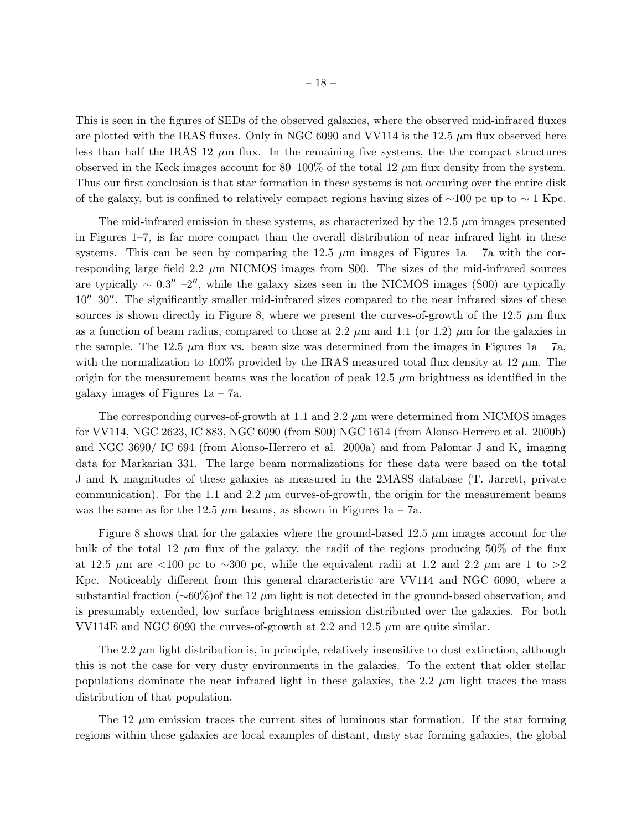This is seen in the figures of SEDs of the observed galaxies, where the observed mid-infrared fluxes are plotted with the IRAS fluxes. Only in NGC 6090 and VV114 is the 12.5  $\mu$ m flux observed here less than half the IRAS 12  $\mu$ m flux. In the remaining five systems, the the compact structures observed in the Keck images account for 80–100% of the total 12  $\mu$ m flux density from the system. Thus our first conclusion is that star formation in these systems is not occuring over the entire disk of the galaxy, but is confined to relatively compact regions having sizes of  $\sim$ 100 pc up to  $\sim$  1 Kpc.

The mid-infrared emission in these systems, as characterized by the  $12.5 \mu m$  images presented in Figures 1–7, is far more compact than the overall distribution of near infrared light in these systems. This can be seen by comparing the 12.5  $\mu$ m images of Figures 1a – 7a with the corresponding large field 2.2  $\mu$ m NICMOS images from S00. The sizes of the mid-infrared sources are typically  $\sim 0.3'' - 2''$ , while the galaxy sizes seen in the NICMOS images (S00) are typically 10′′–30′′. The significantly smaller mid-infrared sizes compared to the near infrared sizes of these sources is shown directly in Figure 8, where we present the curves-of-growth of the 12.5  $\mu$ m flux as a function of beam radius, compared to those at 2.2  $\mu$ m and 1.1 (or 1.2)  $\mu$ m for the galaxies in the sample. The 12.5  $\mu$ m flux vs. beam size was determined from the images in Figures 1a – 7a, with the normalization to 100% provided by the IRAS measured total flux density at 12  $\mu$ m. The origin for the measurement beams was the location of peak  $12.5 \mu m$  brightness as identified in the galaxy images of Figures  $1a - 7a$ .

The corresponding curves-of-growth at 1.1 and 2.2  $\mu$ m were determined from NICMOS images for VV114, NGC 2623, IC 883, NGC 6090 (from S00) NGC 1614 (from Alonso-Herrero et al. 2000b) and NGC 3690/ IC 694 (from Alonso-Herrero et al. 2000a) and from Palomar J and  $K_s$  imaging data for Markarian 331. The large beam normalizations for these data were based on the total J and K magnitudes of these galaxies as measured in the 2MASS database (T. Jarrett, private communication). For the 1.1 and 2.2  $\mu$ m curves-of-growth, the origin for the measurement beams was the same as for the 12.5  $\mu$ m beams, as shown in Figures 1a – 7a.

Figure 8 shows that for the galaxies where the ground-based  $12.5 \mu m$  images account for the bulk of the total 12  $\mu$ m flux of the galaxy, the radii of the regions producing 50% of the flux at 12.5  $\mu$ m are <100 pc to ~300 pc, while the equivalent radii at 1.2 and 2.2  $\mu$ m are 1 to >2 Kpc. Noticeably different from this general characteristic are VV114 and NGC 6090, where a substantial fraction ( $\sim$ 60%)of the 12  $\mu$ m light is not detected in the ground-based observation, and is presumably extended, low surface brightness emission distributed over the galaxies. For both VV114E and NGC 6090 the curves-of-growth at 2.2 and 12.5  $\mu$ m are quite similar.

The  $2.2 \mu m$  light distribution is, in principle, relatively insensitive to dust extinction, although this is not the case for very dusty environments in the galaxies. To the extent that older stellar populations dominate the near infrared light in these galaxies, the 2.2  $\mu$ m light traces the mass distribution of that population.

The 12  $\mu$ m emission traces the current sites of luminous star formation. If the star forming regions within these galaxies are local examples of distant, dusty star forming galaxies, the global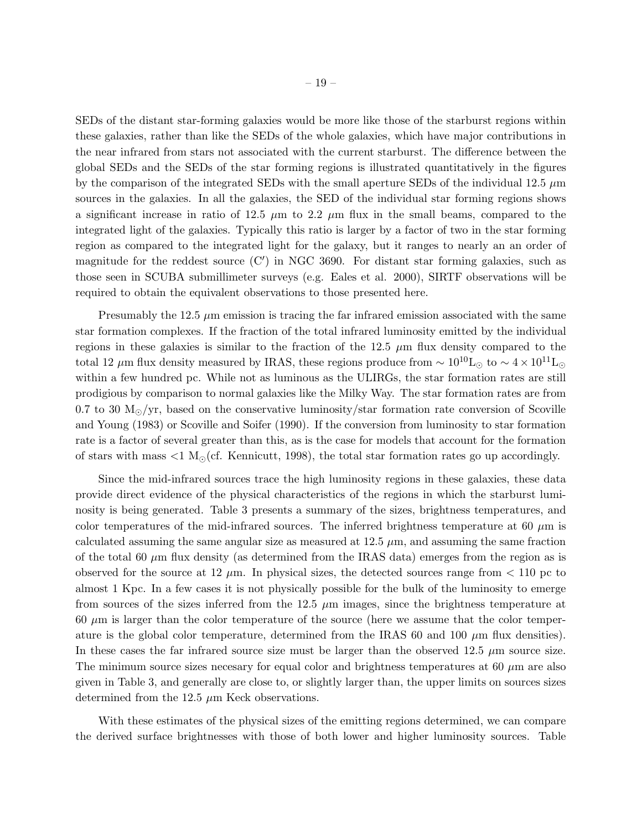SEDs of the distant star-forming galaxies would be more like those of the starburst regions within these galaxies, rather than like the SEDs of the whole galaxies, which have major contributions in the near infrared from stars not associated with the current starburst. The difference between the global SEDs and the SEDs of the star forming regions is illustrated quantitatively in the figures by the comparison of the integrated SEDs with the small aperture SEDs of the individual 12.5  $\mu$ m sources in the galaxies. In all the galaxies, the SED of the individual star forming regions shows a significant increase in ratio of 12.5  $\mu$ m to 2.2  $\mu$ m flux in the small beams, compared to the integrated light of the galaxies. Typically this ratio is larger by a factor of two in the star forming region as compared to the integrated light for the galaxy, but it ranges to nearly an an order of magnitude for the reddest source (C') in NGC 3690. For distant star forming galaxies, such as those seen in SCUBA submillimeter surveys (e.g. Eales et al. 2000), SIRTF observations will be required to obtain the equivalent observations to those presented here.

Presumably the 12.5  $\mu$ m emission is tracing the far infrared emission associated with the same star formation complexes. If the fraction of the total infrared luminosity emitted by the individual regions in these galaxies is similar to the fraction of the  $12.5 \mu m$  flux density compared to the total 12 μm flux density measured by IRAS, these regions produce from  $\sim 10^{10}$ L<sub>☉</sub> to  $\sim 4 \times 10^{11}$ L<sub>☉</sub> within a few hundred pc. While not as luminous as the ULIRGs, the star formation rates are still prodigious by comparison to normal galaxies like the Milky Way. The star formation rates are from 0.7 to 30  $M_{\odot}/yr$ , based on the conservative luminosity/star formation rate conversion of Scoville and Young (1983) or Scoville and Soifer (1990). If the conversion from luminosity to star formation rate is a factor of several greater than this, as is the case for models that account for the formation of stars with mass  $\langle 1 \text{ M}_{\odot}$  (cf. Kennicutt, 1998), the total star formation rates go up accordingly.

Since the mid-infrared sources trace the high luminosity regions in these galaxies, these data provide direct evidence of the physical characteristics of the regions in which the starburst luminosity is being generated. Table 3 presents a summary of the sizes, brightness temperatures, and color temperatures of the mid-infrared sources. The inferred brightness temperature at 60  $\mu$ m is calculated assuming the same angular size as measured at  $12.5 \mu m$ , and assuming the same fraction of the total 60  $\mu$ m flux density (as determined from the IRAS data) emerges from the region as is observed for the source at 12  $\mu$ m. In physical sizes, the detected sources range from  $< 110$  pc to almost 1 Kpc. In a few cases it is not physically possible for the bulk of the luminosity to emerge from sources of the sizes inferred from the  $12.5 \mu m$  images, since the brightness temperature at  $60 \mu m$  is larger than the color temperature of the source (here we assume that the color temperature is the global color temperature, determined from the IRAS 60 and 100  $\mu$ m flux densities). In these cases the far infrared source size must be larger than the observed 12.5  $\mu$ m source size. The minimum source sizes necesary for equal color and brightness temperatures at 60  $\mu$ m are also given in Table 3, and generally are close to, or slightly larger than, the upper limits on sources sizes determined from the 12.5  $\mu$ m Keck observations.

With these estimates of the physical sizes of the emitting regions determined, we can compare the derived surface brightnesses with those of both lower and higher luminosity sources. Table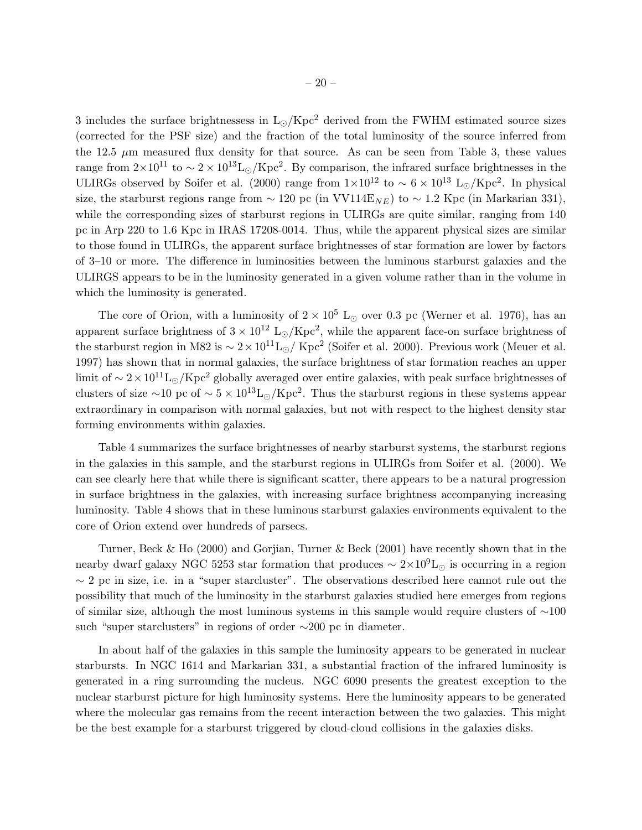3 includes the surface brightnessess in  $L_{\odot}$ /Kpc<sup>2</sup> derived from the FWHM estimated source sizes (corrected for the PSF size) and the fraction of the total luminosity of the source inferred from the 12.5  $\mu$ m measured flux density for that source. As can be seen from Table 3, these values range from  $2 \times 10^{11}$  to  $\sim 2 \times 10^{13}$ L<sub>⊙</sub>/Kpc<sup>2</sup>. By comparison, the infrared surface brightnesses in the ULIRGs observed by Soifer et al. (2000) range from  $1 \times 10^{12}$  to  $\sim 6 \times 10^{13}$  L<sub>⊙</sub>/Kpc<sup>2</sup>. In physical size, the starburst regions range from  $\sim 120$  pc (in VV114E<sub>NE</sub>) to  $\sim 1.2$  Kpc (in Markarian 331), while the corresponding sizes of starburst regions in ULIRGs are quite similar, ranging from 140 pc in Arp 220 to 1.6 Kpc in IRAS 17208-0014. Thus, while the apparent physical sizes are similar to those found in ULIRGs, the apparent surface brightnesses of star formation are lower by factors of 3–10 or more. The difference in luminosities between the luminous starburst galaxies and the ULIRGS appears to be in the luminosity generated in a given volume rather than in the volume in which the luminosity is generated.

The core of Orion, with a luminosity of  $2 \times 10^5$  L<sub>⊙</sub> over 0.3 pc (Werner et al. 1976), has an apparent surface brightness of  $3 \times 10^{12}$  L<sub>☉</sub>/Kpc<sup>2</sup>, while the apparent face-on surface brightness of the starburst region in M82 is  $\sim 2 \times 10^{11}$ L<sub>⊙</sub>/ Kpc<sup>2</sup> (Soifer et al. 2000). Previous work (Meuer et al. 1997) has shown that in normal galaxies, the surface brightness of star formation reaches an upper limit of ~  $2 \times 10^{11}$ L⊙/Kpc<sup>2</sup> globally averaged over entire galaxies, with peak surface brightnesses of clusters of size ~10 pc of ~  $5 \times 10^{13}$ L⊙/Kpc<sup>2</sup>. Thus the starburst regions in these systems appear extraordinary in comparison with normal galaxies, but not with respect to the highest density star forming environments within galaxies.

Table 4 summarizes the surface brightnesses of nearby starburst systems, the starburst regions in the galaxies in this sample, and the starburst regions in ULIRGs from Soifer et al. (2000). We can see clearly here that while there is significant scatter, there appears to be a natural progression in surface brightness in the galaxies, with increasing surface brightness accompanying increasing luminosity. Table 4 shows that in these luminous starburst galaxies environments equivalent to the core of Orion extend over hundreds of parsecs.

Turner, Beck & Ho (2000) and Gorjian, Turner & Beck (2001) have recently shown that in the nearby dwarf galaxy NGC 5253 star formation that produces  $\sim 2 \times 10^9$ L<sub>⊙</sub> is occurring in a region  $\sim$  2 pc in size, i.e. in a "super starcluster". The observations described here cannot rule out the possibility that much of the luminosity in the starburst galaxies studied here emerges from regions of similar size, although the most luminous systems in this sample would require clusters of ∼100 such "super starclusters" in regions of order ∼200 pc in diameter.

In about half of the galaxies in this sample the luminosity appears to be generated in nuclear starbursts. In NGC 1614 and Markarian 331, a substantial fraction of the infrared luminosity is generated in a ring surrounding the nucleus. NGC 6090 presents the greatest exception to the nuclear starburst picture for high luminosity systems. Here the luminosity appears to be generated where the molecular gas remains from the recent interaction between the two galaxies. This might be the best example for a starburst triggered by cloud-cloud collisions in the galaxies disks.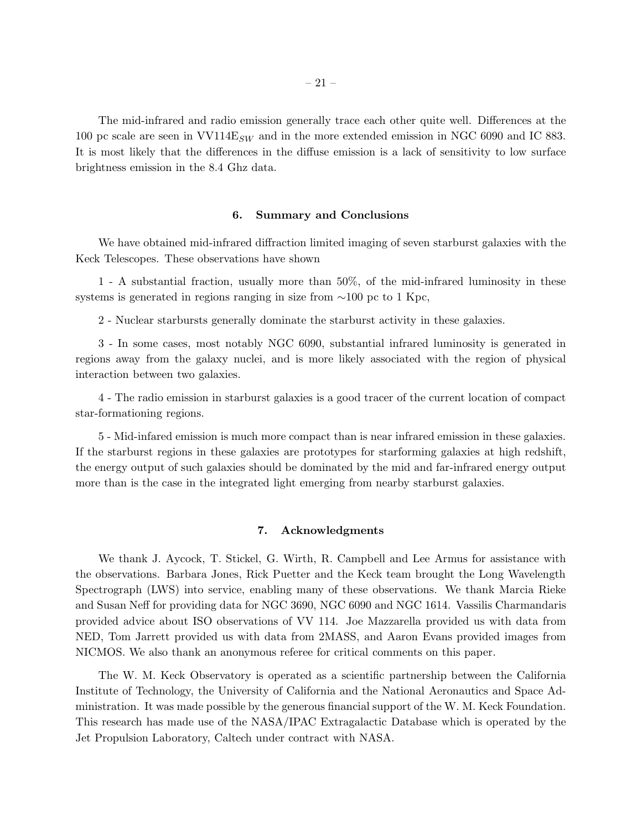The mid-infrared and radio emission generally trace each other quite well. Differences at the 100 pc scale are seen in  $VV114E_{SW}$  and in the more extended emission in NGC 6090 and IC 883. It is most likely that the differences in the diffuse emission is a lack of sensitivity to low surface brightness emission in the 8.4 Ghz data.

### 6. Summary and Conclusions

We have obtained mid-infrared diffraction limited imaging of seven starburst galaxies with the Keck Telescopes. These observations have shown

1 - A substantial fraction, usually more than 50%, of the mid-infrared luminosity in these systems is generated in regions ranging in size from ∼100 pc to 1 Kpc,

2 - Nuclear starbursts generally dominate the starburst activity in these galaxies.

3 - In some cases, most notably NGC 6090, substantial infrared luminosity is generated in regions away from the galaxy nuclei, and is more likely associated with the region of physical interaction between two galaxies.

4 - The radio emission in starburst galaxies is a good tracer of the current location of compact star-formationing regions.

5 - Mid-infared emission is much more compact than is near infrared emission in these galaxies. If the starburst regions in these galaxies are prototypes for starforming galaxies at high redshift, the energy output of such galaxies should be dominated by the mid and far-infrared energy output more than is the case in the integrated light emerging from nearby starburst galaxies.

#### 7. Acknowledgments

We thank J. Aycock, T. Stickel, G. Wirth, R. Campbell and Lee Armus for assistance with the observations. Barbara Jones, Rick Puetter and the Keck team brought the Long Wavelength Spectrograph (LWS) into service, enabling many of these observations. We thank Marcia Rieke and Susan Neff for providing data for NGC 3690, NGC 6090 and NGC 1614. Vassilis Charmandaris provided advice about ISO observations of VV 114. Joe Mazzarella provided us with data from NED, Tom Jarrett provided us with data from 2MASS, and Aaron Evans provided images from NICMOS. We also thank an anonymous referee for critical comments on this paper.

The W. M. Keck Observatory is operated as a scientific partnership between the California Institute of Technology, the University of California and the National Aeronautics and Space Administration. It was made possible by the generous financial support of the W. M. Keck Foundation. This research has made use of the NASA/IPAC Extragalactic Database which is operated by the Jet Propulsion Laboratory, Caltech under contract with NASA.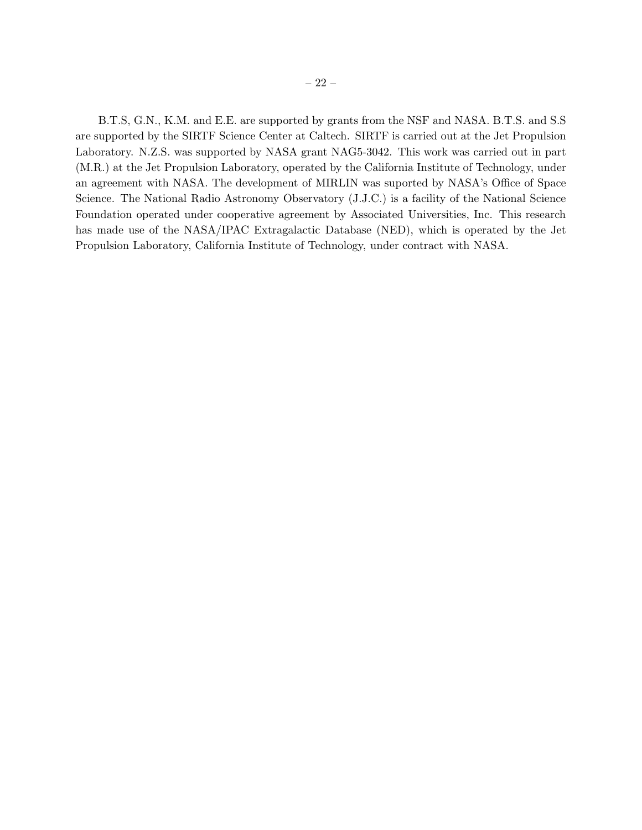B.T.S, G.N., K.M. and E.E. are supported by grants from the NSF and NASA. B.T.S. and S.S are supported by the SIRTF Science Center at Caltech. SIRTF is carried out at the Jet Propulsion Laboratory. N.Z.S. was supported by NASA grant NAG5-3042. This work was carried out in part (M.R.) at the Jet Propulsion Laboratory, operated by the California Institute of Technology, under an agreement with NASA. The development of MIRLIN was suported by NASA's Office of Space Science. The National Radio Astronomy Observatory (J.J.C.) is a facility of the National Science Foundation operated under cooperative agreement by Associated Universities, Inc. This research has made use of the NASA/IPAC Extragalactic Database (NED), which is operated by the Jet Propulsion Laboratory, California Institute of Technology, under contract with NASA.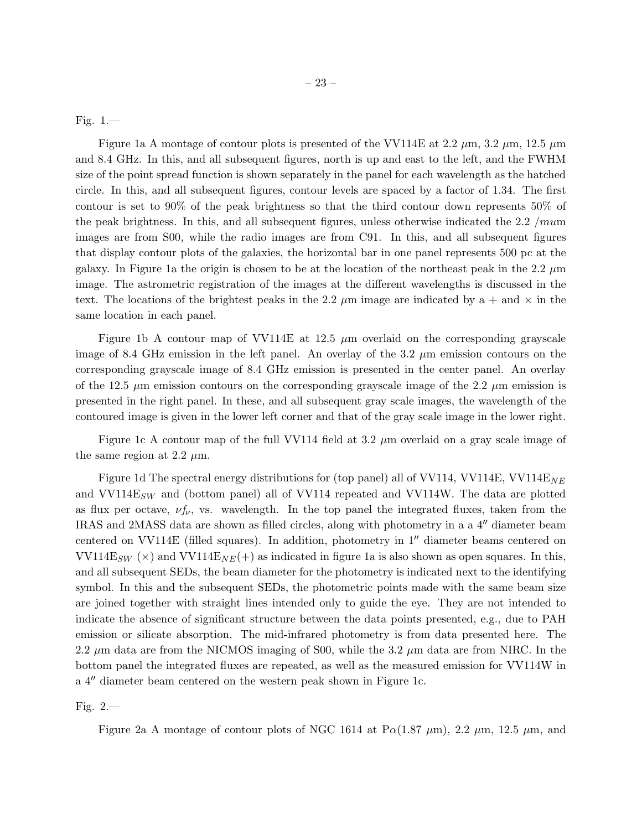Fig. 1.—

Figure 1a A montage of contour plots is presented of the VV114E at 2.2  $\mu$ m, 3.2  $\mu$ m, 12.5  $\mu$ m and 8.4 GHz. In this, and all subsequent figures, north is up and east to the left, and the FWHM size of the point spread function is shown separately in the panel for each wavelength as the hatched circle. In this, and all subsequent figures, contour levels are spaced by a factor of 1.34. The first contour is set to 90% of the peak brightness so that the third contour down represents 50% of the peak brightness. In this, and all subsequent figures, unless otherwise indicated the 2.2 /mum images are from S00, while the radio images are from C91. In this, and all subsequent figures that display contour plots of the galaxies, the horizontal bar in one panel represents 500 pc at the galaxy. In Figure 1a the origin is chosen to be at the location of the northeast peak in the 2.2  $\mu$ m image. The astrometric registration of the images at the different wavelengths is discussed in the text. The locations of the brightest peaks in the 2.2  $\mu$ m image are indicated by a + and  $\times$  in the same location in each panel.

Figure 1b A contour map of VV114E at 12.5  $\mu$ m overlaid on the corresponding grayscale image of 8.4 GHz emission in the left panel. An overlay of the 3.2  $\mu$ m emission contours on the corresponding grayscale image of 8.4 GHz emission is presented in the center panel. An overlay of the 12.5  $\mu$ m emission contours on the corresponding grayscale image of the 2.2  $\mu$ m emission is presented in the right panel. In these, and all subsequent gray scale images, the wavelength of the contoured image is given in the lower left corner and that of the gray scale image in the lower right.

Figure 1c A contour map of the full VV114 field at 3.2  $\mu$ m overlaid on a gray scale image of the same region at 2.2  $\mu$ m.

Figure 1d The spectral energy distributions for (top panel) all of VV114, VV114E, VV114E<sub>NE</sub> and  $VV114E_{SW}$  and (bottom panel) all of VV114 repeated and VV114W. The data are plotted as flux per octave,  $\nu f_{\nu}$ , vs. wavelength. In the top panel the integrated fluxes, taken from the IRAS and 2MASS data are shown as filled circles, along with photometry in a a 4′′ diameter beam centered on VV114E (filled squares). In addition, photometry in 1′′ diameter beams centered on VV114E<sub>SW</sub> ( $\times$ ) and VV114E<sub>NE</sub>(+) as indicated in figure 1a is also shown as open squares. In this, and all subsequent SEDs, the beam diameter for the photometry is indicated next to the identifying symbol. In this and the subsequent SEDs, the photometric points made with the same beam size are joined together with straight lines intended only to guide the eye. They are not intended to indicate the absence of significant structure between the data points presented, e.g., due to PAH emission or silicate absorption. The mid-infrared photometry is from data presented here. The 2.2  $\mu$ m data are from the NICMOS imaging of S00, while the 3.2  $\mu$ m data are from NIRC. In the bottom panel the integrated fluxes are repeated, as well as the measured emission for VV114W in a 4′′ diameter beam centered on the western peak shown in Figure 1c.

Fig. 2.—

Figure 2a A montage of contour plots of NGC 1614 at  $P\alpha(1.87 \mu m)$ , 2.2  $\mu$ m, 12.5  $\mu$ m, and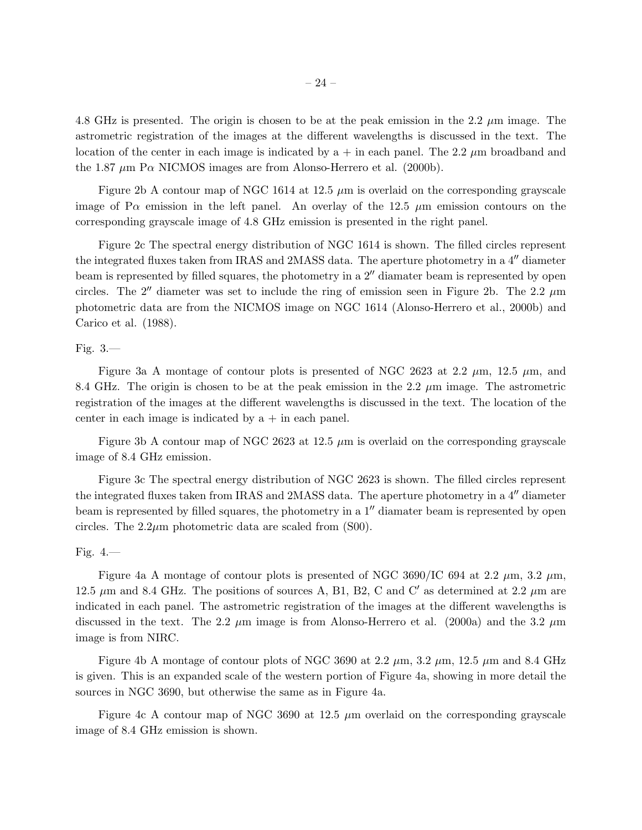4.8 GHz is presented. The origin is chosen to be at the peak emission in the 2.2  $\mu$ m image. The astrometric registration of the images at the different wavelengths is discussed in the text. The location of the center in each image is indicated by  $a + in$  each panel. The 2.2  $\mu$ m broadband and the 1.87  $\mu$ m P $\alpha$  NICMOS images are from Alonso-Herrero et al. (2000b).

Figure 2b A contour map of NGC 1614 at 12.5  $\mu$ m is overlaid on the corresponding grayscale image of P $\alpha$  emission in the left panel. An overlay of the 12.5  $\mu$ m emission contours on the corresponding grayscale image of 4.8 GHz emission is presented in the right panel.

Figure 2c The spectral energy distribution of NGC 1614 is shown. The filled circles represent the integrated fluxes taken from IRAS and 2MASS data. The aperture photometry in a 4′′ diameter beam is represented by filled squares, the photometry in a 2′′ diamater beam is represented by open circles. The 2<sup> $\prime\prime$ </sup> diameter was set to include the ring of emission seen in Figure 2b. The 2.2  $\mu$ m photometric data are from the NICMOS image on NGC 1614 (Alonso-Herrero et al., 2000b) and Carico et al. (1988).

# Fig.  $3$ .

Figure 3a A montage of contour plots is presented of NGC 2623 at 2.2  $\mu$ m, 12.5  $\mu$ m, and 8.4 GHz. The origin is chosen to be at the peak emission in the 2.2  $\mu$ m image. The astrometric registration of the images at the different wavelengths is discussed in the text. The location of the center in each image is indicated by  $a + in$  each panel.

Figure 3b A contour map of NGC 2623 at 12.5  $\mu$ m is overlaid on the corresponding grayscale image of 8.4 GHz emission.

Figure 3c The spectral energy distribution of NGC 2623 is shown. The filled circles represent the integrated fluxes taken from IRAS and 2MASS data. The aperture photometry in a 4′′ diameter beam is represented by filled squares, the photometry in a 1′′ diamater beam is represented by open circles. The  $2.2\mu$ m photometric data are scaled from (S00).

# Fig. 4.—

Figure 4a A montage of contour plots is presented of NGC 3690/IC 694 at 2.2  $\mu$ m, 3.2  $\mu$ m, 12.5  $\mu$ m and 8.4 GHz. The positions of sources A, B1, B2, C and C' as determined at 2.2  $\mu$ m are indicated in each panel. The astrometric registration of the images at the different wavelengths is discussed in the text. The 2.2  $\mu$ m image is from Alonso-Herrero et al. (2000a) and the 3.2  $\mu$ m image is from NIRC.

Figure 4b A montage of contour plots of NGC 3690 at 2.2  $\mu$ m, 3.2  $\mu$ m, 12.5  $\mu$ m and 8.4 GHz is given. This is an expanded scale of the western portion of Figure 4a, showing in more detail the sources in NGC 3690, but otherwise the same as in Figure 4a.

Figure 4c A contour map of NGC 3690 at 12.5  $\mu$ m overlaid on the corresponding grayscale image of 8.4 GHz emission is shown.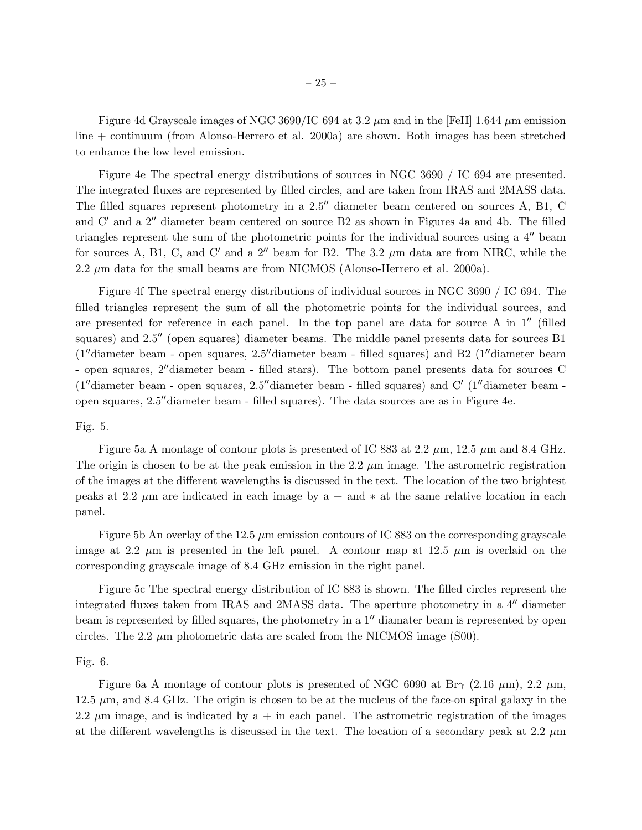Figure 4d Grayscale images of NGC 3690/IC 694 at 3.2  $\mu$ m and in the [FeII] 1.644  $\mu$ m emission line + continuum (from Alonso-Herrero et al. 2000a) are shown. Both images has been stretched to enhance the low level emission.

Figure 4e The spectral energy distributions of sources in NGC 3690 / IC 694 are presented. The integrated fluxes are represented by filled circles, and are taken from IRAS and 2MASS data. The filled squares represent photometry in a 2.5′′ diameter beam centered on sources A, B1, C and C′ and a 2′′ diameter beam centered on source B2 as shown in Figures 4a and 4b. The filled triangles represent the sum of the photometric points for the individual sources using a 4′′ beam for sources A, B1, C, and C' and a  $2''$  beam for B2. The 3.2  $\mu$ m data are from NIRC, while the 2.2  $\mu$ m data for the small beams are from NICMOS (Alonso-Herrero et al. 2000a).

Figure 4f The spectral energy distributions of individual sources in NGC 3690 / IC 694. The filled triangles represent the sum of all the photometric points for the individual sources, and are presented for reference in each panel. In the top panel are data for source A in 1<sup>"</sup> (filled squares) and 2.5<sup> $\prime\prime$ </sup> (open squares) diameter beams. The middle panel presents data for sources B1 (1′′diameter beam - open squares, 2.5′′diameter beam - filled squares) and B2 (1′′diameter beam - open squares, 2′′diameter beam - filled stars). The bottom panel presents data for sources C (1"diameter beam - open squares, 2.5" diameter beam - filled squares) and C' (1"diameter beam open squares, 2.5′′diameter beam - filled squares). The data sources are as in Figure 4e.

# Fig. 5.—

Figure 5a A montage of contour plots is presented of IC 883 at 2.2  $\mu$ m, 12.5  $\mu$ m and 8.4 GHz. The origin is chosen to be at the peak emission in the 2.2  $\mu$ m image. The astrometric registration of the images at the different wavelengths is discussed in the text. The location of the two brightest peaks at 2.2  $\mu$ m are indicated in each image by a + and  $*$  at the same relative location in each panel.

Figure 5b An overlay of the 12.5  $\mu$ m emission contours of IC 883 on the corresponding grayscale image at 2.2  $\mu$ m is presented in the left panel. A contour map at 12.5  $\mu$ m is overlaid on the corresponding grayscale image of 8.4 GHz emission in the right panel.

Figure 5c The spectral energy distribution of IC 883 is shown. The filled circles represent the integrated fluxes taken from IRAS and 2MASS data. The aperture photometry in a 4′′ diameter beam is represented by filled squares, the photometry in a 1′′ diamater beam is represented by open circles. The 2.2  $\mu$ m photometric data are scaled from the NICMOS image (S00).

# Fig.  $6$ .

Figure 6a A montage of contour plots is presented of NGC 6090 at Br $\gamma$  (2.16  $\mu$ m), 2.2  $\mu$ m, 12.5  $\mu$ m, and 8.4 GHz. The origin is chosen to be at the nucleus of the face-on spiral galaxy in the 2.2  $\mu$ m image, and is indicated by a + in each panel. The astrometric registration of the images at the different wavelengths is discussed in the text. The location of a secondary peak at 2.2  $\mu$ m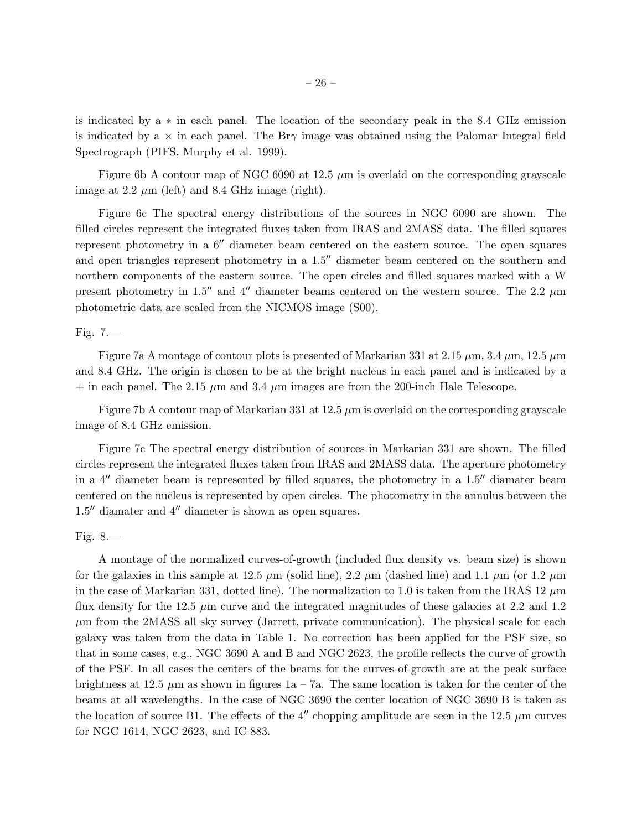is indicated by a ∗ in each panel. The location of the secondary peak in the 8.4 GHz emission is indicated by a  $\times$  in each panel. The Br $\gamma$  image was obtained using the Palomar Integral field Spectrograph (PIFS, Murphy et al. 1999).

Figure 6b A contour map of NGC 6090 at 12.5  $\mu$ m is overlaid on the corresponding grayscale image at 2.2  $\mu$ m (left) and 8.4 GHz image (right).

Figure 6c The spectral energy distributions of the sources in NGC 6090 are shown. The filled circles represent the integrated fluxes taken from IRAS and 2MASS data. The filled squares represent photometry in a 6′′ diameter beam centered on the eastern source. The open squares and open triangles represent photometry in a 1.5′′ diameter beam centered on the southern and northern components of the eastern source. The open circles and filled squares marked with a W present photometry in 1.5<sup> $\prime\prime$ </sup> and 4<sup> $\prime\prime$ </sup> diameter beams centered on the western source. The 2.2  $\mu$ m photometric data are scaled from the NICMOS image (S00).

# Fig. 7.—

Figure 7a A montage of contour plots is presented of Markarian 331 at 2.15  $\mu$ m, 3.4  $\mu$ m, 12.5  $\mu$ m and 8.4 GHz. The origin is chosen to be at the bright nucleus in each panel and is indicated by a  $+$  in each panel. The 2.15  $\mu$ m and 3.4  $\mu$ m images are from the 200-inch Hale Telescope.

Figure 7b A contour map of Markarian 331 at  $12.5 \mu m$  is overlaid on the corresponding grayscale image of 8.4 GHz emission.

Figure 7c The spectral energy distribution of sources in Markarian 331 are shown. The filled circles represent the integrated fluxes taken from IRAS and 2MASS data. The aperture photometry in a  $4''$  diameter beam is represented by filled squares, the photometry in a  $1.5''$  diamater beam centered on the nucleus is represented by open circles. The photometry in the annulus between the 1.5′′ diamater and 4′′ diameter is shown as open squares.

# Fig. 8.—

A montage of the normalized curves-of-growth (included flux density vs. beam size) is shown for the galaxies in this sample at 12.5  $\mu$ m (solid line), 2.2  $\mu$ m (dashed line) and 1.1  $\mu$ m (or 1.2  $\mu$ m in the case of Markarian 331, dotted line). The normalization to 1.0 is taken from the IRAS 12  $\mu$ m flux density for the 12.5  $\mu$ m curve and the integrated magnitudes of these galaxies at 2.2 and 1.2  $\mu$ m from the 2MASS all sky survey (Jarrett, private communication). The physical scale for each galaxy was taken from the data in Table 1. No correction has been applied for the PSF size, so that in some cases, e.g., NGC 3690 A and B and NGC 2623, the profile reflects the curve of growth of the PSF. In all cases the centers of the beams for the curves-of-growth are at the peak surface brightness at 12.5  $\mu$ m as shown in figures 1a – 7a. The same location is taken for the center of the beams at all wavelengths. In the case of NGC 3690 the center location of NGC 3690 B is taken as the location of source B1. The effects of the 4'' chopping amplitude are seen in the 12.5  $\mu$ m curves for NGC 1614, NGC 2623, and IC 883.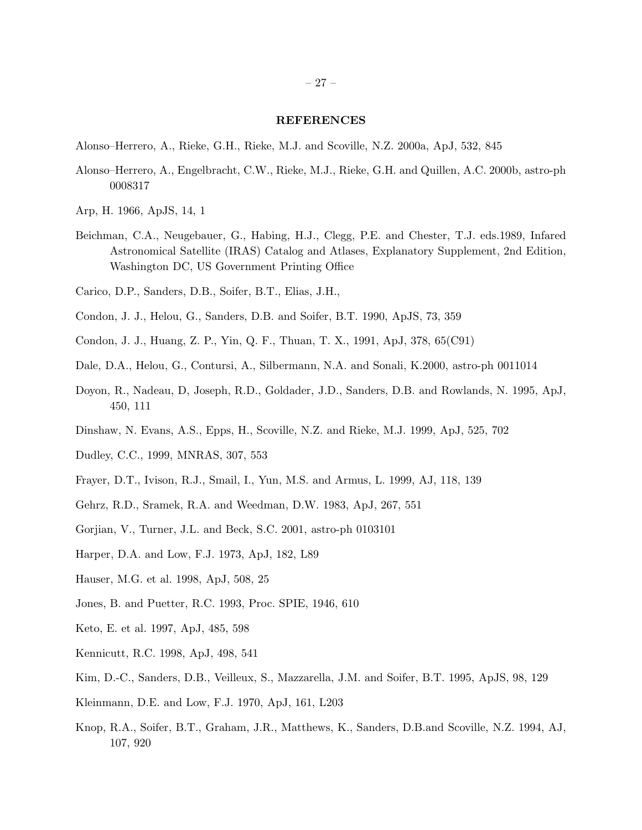#### REFERENCES

- Alonso–Herrero, A., Rieke, G.H., Rieke, M.J. and Scoville, N.Z. 2000a, ApJ, 532, 845
- Alonso–Herrero, A., Engelbracht, C.W., Rieke, M.J., Rieke, G.H. and Quillen, A.C. 2000b, astro-ph 0008317
- Arp, H. 1966, ApJS, 14, 1
- Beichman, C.A., Neugebauer, G., Habing, H.J., Clegg, P.E. and Chester, T.J. eds.1989, Infared Astronomical Satellite (IRAS) Catalog and Atlases, Explanatory Supplement, 2nd Edition, Washington DC, US Government Printing Office
- Carico, D.P., Sanders, D.B., Soifer, B.T., Elias, J.H.,
- Condon, J. J., Helou, G., Sanders, D.B. and Soifer, B.T. 1990, ApJS, 73, 359
- Condon, J. J., Huang, Z. P., Yin, Q. F., Thuan, T. X., 1991, ApJ, 378, 65(C91)
- Dale, D.A., Helou, G., Contursi, A., Silbermann, N.A. and Sonali, K.2000, astro-ph 0011014
- Doyon, R., Nadeau, D, Joseph, R.D., Goldader, J.D., Sanders, D.B. and Rowlands, N. 1995, ApJ, 450, 111
- Dinshaw, N. Evans, A.S., Epps, H., Scoville, N.Z. and Rieke, M.J. 1999, ApJ, 525, 702
- Dudley, C.C., 1999, MNRAS, 307, 553
- Frayer, D.T., Ivison, R.J., Smail, I., Yun, M.S. and Armus, L. 1999, AJ, 118, 139
- Gehrz, R.D., Sramek, R.A. and Weedman, D.W. 1983, ApJ, 267, 551
- Gorjian, V., Turner, J.L. and Beck, S.C. 2001, astro-ph 0103101
- Harper, D.A. and Low, F.J. 1973, ApJ, 182, L89
- Hauser, M.G. et al. 1998, ApJ, 508, 25
- Jones, B. and Puetter, R.C. 1993, Proc. SPIE, 1946, 610
- Keto, E. et al. 1997, ApJ, 485, 598
- Kennicutt, R.C. 1998, ApJ, 498, 541
- Kim, D.-C., Sanders, D.B., Veilleux, S., Mazzarella, J.M. and Soifer, B.T. 1995, ApJS, 98, 129
- Kleinmann, D.E. and Low, F.J. 1970, ApJ, 161, L203
- Knop, R.A., Soifer, B.T., Graham, J.R., Matthews, K., Sanders, D.B.and Scoville, N.Z. 1994, AJ, 107, 920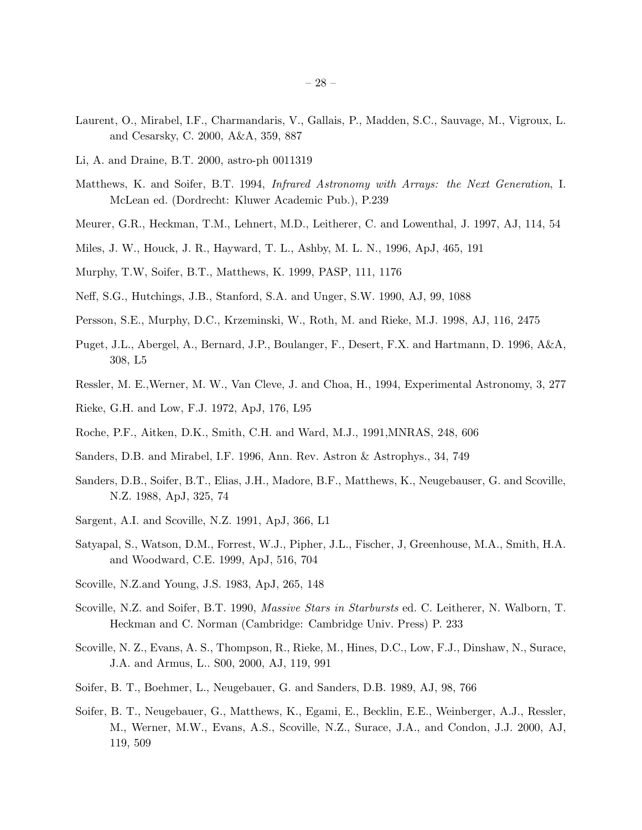- Laurent, O., Mirabel, I.F., Charmandaris, V., Gallais, P., Madden, S.C., Sauvage, M., Vigroux, L. and Cesarsky, C. 2000, A&A, 359, 887
- Li, A. and Draine, B.T. 2000, astro-ph 0011319
- Matthews, K. and Soifer, B.T. 1994, *Infrared Astronomy with Arrays: the Next Generation*, I. McLean ed. (Dordrecht: Kluwer Academic Pub.), P.239
- Meurer, G.R., Heckman, T.M., Lehnert, M.D., Leitherer, C. and Lowenthal, J. 1997, AJ, 114, 54
- Miles, J. W., Houck, J. R., Hayward, T. L., Ashby, M. L. N., 1996, ApJ, 465, 191
- Murphy, T.W, Soifer, B.T., Matthews, K. 1999, PASP, 111, 1176
- Neff, S.G., Hutchings, J.B., Stanford, S.A. and Unger, S.W. 1990, AJ, 99, 1088
- Persson, S.E., Murphy, D.C., Krzeminski, W., Roth, M. and Rieke, M.J. 1998, AJ, 116, 2475
- Puget, J.L., Abergel, A., Bernard, J.P., Boulanger, F., Desert, F.X. and Hartmann, D. 1996, A&A, 308, L5
- Ressler, M. E.,Werner, M. W., Van Cleve, J. and Choa, H., 1994, Experimental Astronomy, 3, 277
- Rieke, G.H. and Low, F.J. 1972, ApJ, 176, L95
- Roche, P.F., Aitken, D.K., Smith, C.H. and Ward, M.J., 1991,MNRAS, 248, 606
- Sanders, D.B. and Mirabel, I.F. 1996, Ann. Rev. Astron & Astrophys., 34, 749
- Sanders, D.B., Soifer, B.T., Elias, J.H., Madore, B.F., Matthews, K., Neugebauser, G. and Scoville, N.Z. 1988, ApJ, 325, 74
- Sargent, A.I. and Scoville, N.Z. 1991, ApJ, 366, L1
- Satyapal, S., Watson, D.M., Forrest, W.J., Pipher, J.L., Fischer, J, Greenhouse, M.A., Smith, H.A. and Woodward, C.E. 1999, ApJ, 516, 704
- Scoville, N.Z.and Young, J.S. 1983, ApJ, 265, 148
- Scoville, N.Z. and Soifer, B.T. 1990, *Massive Stars in Starbursts* ed. C. Leitherer, N. Walborn, T. Heckman and C. Norman (Cambridge: Cambridge Univ. Press) P. 233
- Scoville, N. Z., Evans, A. S., Thompson, R., Rieke, M., Hines, D.C., Low, F.J., Dinshaw, N., Surace, J.A. and Armus, L.. S00, 2000, AJ, 119, 991
- Soifer, B. T., Boehmer, L., Neugebauer, G. and Sanders, D.B. 1989, AJ, 98, 766
- Soifer, B. T., Neugebauer, G., Matthews, K., Egami, E., Becklin, E.E., Weinberger, A.J., Ressler, M., Werner, M.W., Evans, A.S., Scoville, N.Z., Surace, J.A., and Condon, J.J. 2000, AJ, 119, 509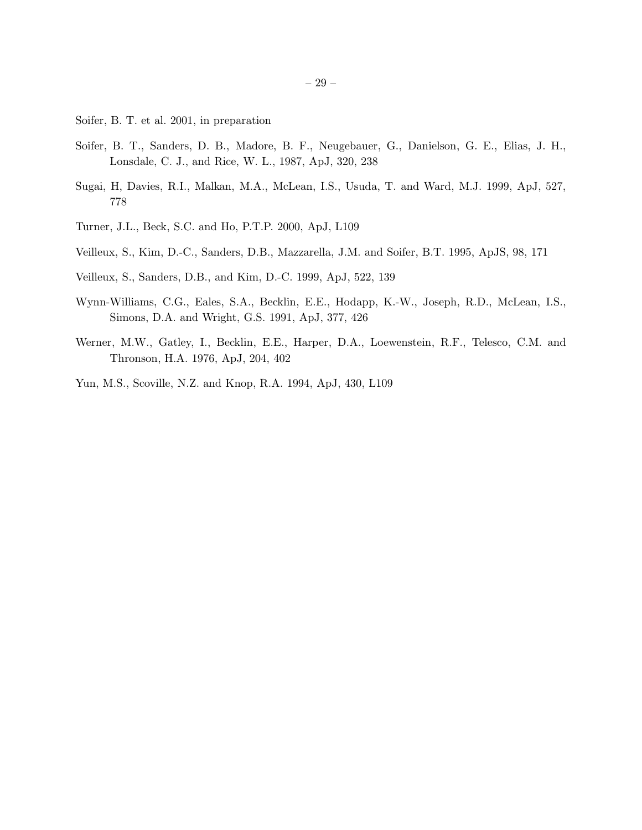- Soifer, B. T. et al. 2001, in preparation
- Soifer, B. T., Sanders, D. B., Madore, B. F., Neugebauer, G., Danielson, G. E., Elias, J. H., Lonsdale, C. J., and Rice, W. L., 1987, ApJ, 320, 238
- Sugai, H, Davies, R.I., Malkan, M.A., McLean, I.S., Usuda, T. and Ward, M.J. 1999, ApJ, 527, 778
- Turner, J.L., Beck, S.C. and Ho, P.T.P. 2000, ApJ, L109
- Veilleux, S., Kim, D.-C., Sanders, D.B., Mazzarella, J.M. and Soifer, B.T. 1995, ApJS, 98, 171
- Veilleux, S., Sanders, D.B., and Kim, D.-C. 1999, ApJ, 522, 139
- Wynn-Williams, C.G., Eales, S.A., Becklin, E.E., Hodapp, K.-W., Joseph, R.D., McLean, I.S., Simons, D.A. and Wright, G.S. 1991, ApJ, 377, 426
- Werner, M.W., Gatley, I., Becklin, E.E., Harper, D.A., Loewenstein, R.F., Telesco, C.M. and Thronson, H.A. 1976, ApJ, 204, 402
- Yun, M.S., Scoville, N.Z. and Knop, R.A. 1994, ApJ, 430, L109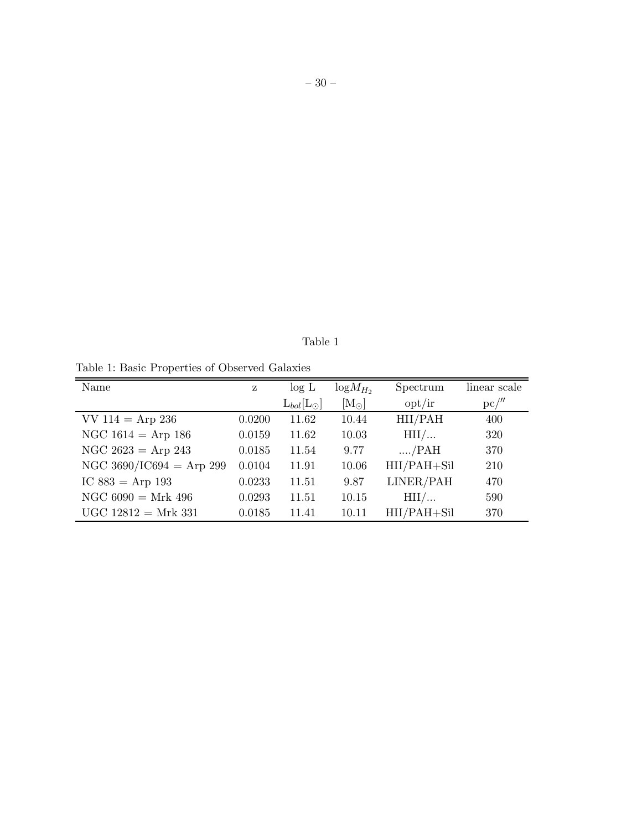Table 1

Table 1: Basic Properties of Observed Galaxies

| Name                     | z      | log L                | $logM_{H_2}$      | Spectrum        | linear scale |
|--------------------------|--------|----------------------|-------------------|-----------------|--------------|
|                          |        | $L_{bol}[L_{\odot}]$ | $\rm [M_{\odot}]$ | opt/ir          | $pc/$ "      |
| $VV 114 = Arp 236$       | 0.0200 | 11.62                | 10.44             | HII/PAH         | 400          |
| NGC $1614 =$ Arp 186     | 0.0159 | 11.62                | 10.03             | $\text{HII}/$   | 320          |
| NGC $2623 =$ Arp 243     | 0.0185 | 11.54                | 9.77              | $\ldots$ /PAH   | 370          |
| NGC 3690/IC694 = Arp 299 | 0.0104 | 11.91                | 10.06             | HII/PAH+Sil     | 210          |
| IC $883 =$ Arp 193       | 0.0233 | 11.51                | 9.87              | LINER/PAH       | 470          |
| NGC $6090 = Mrk 496$     | 0.0293 | 11.51                | 10.15             | HII/            | 590          |
| $UGC 12812 = Mrk 331$    | 0.0185 | 11.41                | 10.11             | $HI/IPAH + SiI$ | 370          |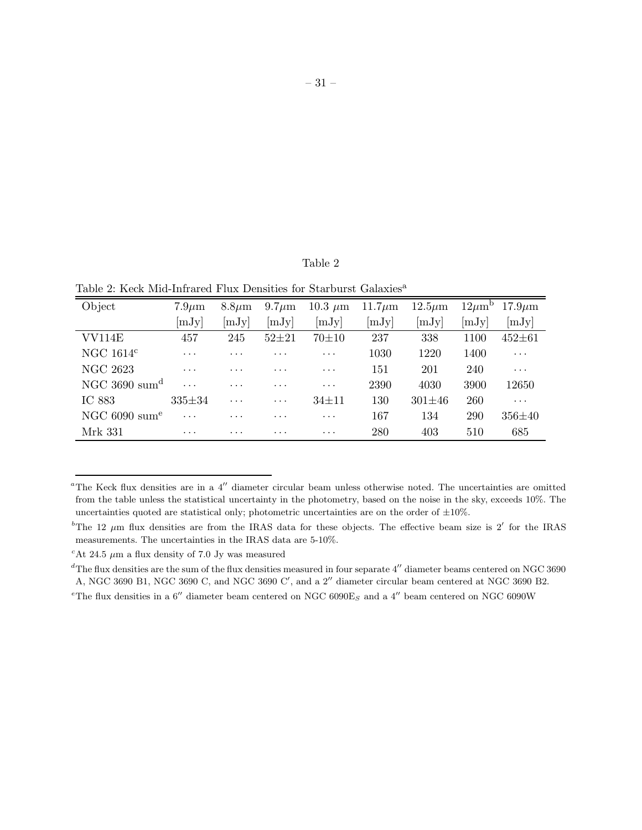### Table 2

Table 2: Keck Mid-Infrared Flux Densities for Starburst Galaxies<sup>a</sup>

| Object                    | $7.9 \mu m$  | $8.8 \mu m$             | $9.7 \mu m$          | $10.3 \mu m$ | $11.7 \mu m$ | $12.5\mu m$  | $12 \mu m^b$ | $17.9 \mu m$ |
|---------------------------|--------------|-------------------------|----------------------|--------------|--------------|--------------|--------------|--------------|
|                           | [mJy]        | [mJy]                   | [mJy]                | [mJy]        | [mJy]        | [mJy]        | [mJy]        | [mJy]        |
| VV114E                    | 457          | 245                     | $52 + 21$            | $70 + 10$    | 237          | 338          | 1100         | $452 + 61$   |
| NGC $1614c$               | .            | $\cdots$                | $\cdots$             | $\cdots$     | 1030         | 1220         | 1400         | $\cdots$     |
| NGC 2623                  | $\cdots$     | .                       | $\cdots$             | $\cdots$     | 151          | 201          | 240          | .            |
| NGC 3690 sum <sup>d</sup> | $\cdots$     | $\cdots$                | $\cdots$             | $\cdots$     | 2390         | 4030         | 3900         | 12650        |
| IC 883                    | $335 \pm 34$ | $\cdot$ $\cdot$ $\cdot$ | $\cdots$             | $34 + 11$    | 130          | $301 \pm 46$ | <b>260</b>   | $\cdots$     |
| NGC 6090 sum <sup>e</sup> | $\cdots$     | $\cdots$                | $\cdots$             | $\cdots$     | 167          | 134          | 290          | $356 + 40$   |
| Mrk 331                   | $\cdots$     | $\cdots$                | $\ddot{\phantom{0}}$ | $\cdots$     | 280          | 403          | 510          | 685          |

<sup>a</sup>The Keck flux densities are in a 4′′ diameter circular beam unless otherwise noted. The uncertainties are omitted from the table unless the statistical uncertainty in the photometry, based on the noise in the sky, exceeds 10%. The uncertainties quoted are statistical only; photometric uncertainties are on the order of  $\pm 10\%$ .

<sup>&</sup>lt;sup>b</sup>The 12  $\mu$ m flux densities are from the IRAS data for these objects. The effective beam size is 2' for the IRAS measurements. The uncertainties in the IRAS data are 5-10%.

<sup>&</sup>lt;sup>c</sup>At 24.5  $\mu$ m a flux density of 7.0 Jy was measured

 $d$ The flux densities are the sum of the flux densities measured in four separate  $4''$  diameter beams centered on NGC 3690 A, NGC 3690 B1, NGC 3690 C, and NGC 3690 C', and a 2" diameter circular beam centered at NGC 3690 B2.

<sup>&</sup>lt;sup>e</sup>The flux densities in a 6<sup>"</sup> diameter beam centered on NGC 6090E<sub>S</sub> and a 4<sup>"</sup> beam centered on NGC 6090W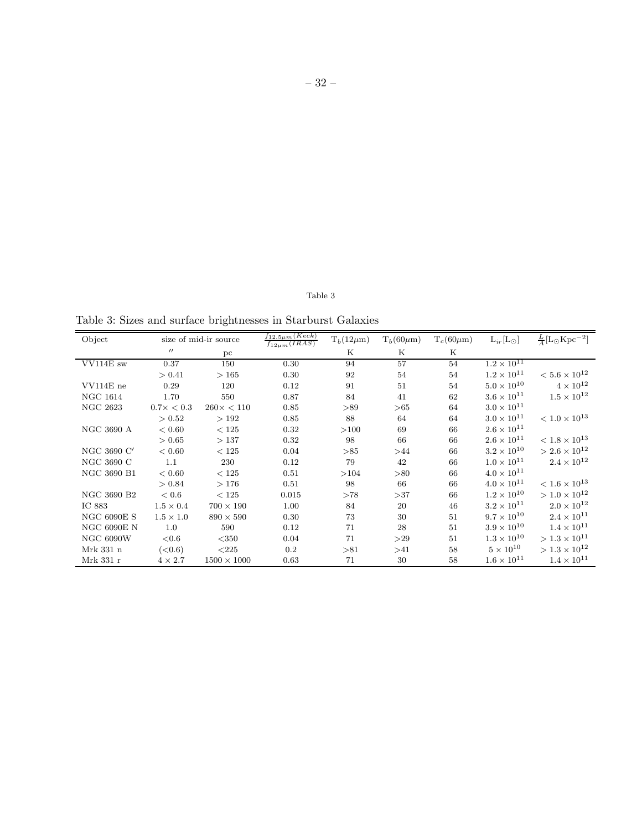# Table 3

Table 3: Sizes and surface brightnesses in Starburst Galaxies

| Object             |                    | size of mid-ir source | $f_{12.5\mu m}(Keck)$<br>$f_{12\mu m}(IRAS)$ | $T_b(12\mu m)$ | $T_b(60\mu m)$ | $T_c(60\mu m)$ | $L_{ir}[L_{\odot}]$  | $\frac{L}{4}$ [L <sub>O</sub> Kpc <sup>-2</sup> ] |
|--------------------|--------------------|-----------------------|----------------------------------------------|----------------|----------------|----------------|----------------------|---------------------------------------------------|
|                    | $^{\prime\prime}$  | pc                    |                                              | Κ              | K              | Κ              |                      |                                                   |
| VV114E sw          | 0.37               | 150                   | 0.30                                         | 94             | 57             | 54             | $1.2 \times 10^{11}$ |                                                   |
|                    | > 0.41             | >165                  | 0.30                                         | 92             | 54             | 54             | $1.2 \times 10^{11}$ | $< 5.6 \times 10^{12}$                            |
| VV114E ne          | 0.29               | 120                   | 0.12                                         | 91             | 51             | 54             | $5.0 \times 10^{10}$ | $4 \times 10^{12}$                                |
| <b>NGC 1614</b>    | 1.70               | 550                   | 0.87                                         | 84             | 41             | 62             | $3.6 \times 10^{11}$ | $1.5 \times 10^{12}$                              |
| <b>NGC 2623</b>    | $0.7 \times < 0.3$ | $260 \times < 110$    | 0.85                                         | > 89           | >65            | 64             | $3.0 \times 10^{11}$ |                                                   |
|                    | > 0.52             | >192                  | 0.85                                         | 88             | 64             | 64             | $3.0 \times 10^{11}$ | $< 1.0 \times 10^{13}$                            |
| <b>NGC 3690 A</b>  | < 0.60             | < 125                 | 0.32                                         | >100           | 69             | 66             | $2.6 \times 10^{11}$ |                                                   |
|                    | > 0.65             | >137                  | 0.32                                         | 98             | 66             | 66             | $2.6 \times 10^{11}$ | $< 1.8 \times 10^{13}$                            |
| NGC 3690 C'        | < 0.60             | $<125$                | 0.04                                         | >85            | >44            | 66             | $3.2 \times 10^{10}$ | $> 2.6 \times 10^{12}$                            |
| NGC 3690 C         | 1.1                | 230                   | 0.12                                         | 79             | 42             | 66             | $1.0 \times 10^{11}$ | $2.4 \times 10^{12}$                              |
| NGC 3690 B1        | < 0.60             | < 125                 | 0.51                                         | >104           | > 80           | 66             | $4.0 \times 10^{11}$ |                                                   |
|                    | > 0.84             | >176                  | 0.51                                         | 98             | 66             | 66             | $4.0 \times 10^{11}$ | $< 1.6 \times 10^{13}$                            |
| NGC 3690 B2        | < 0.6              | < 125                 | 0.015                                        | >78            | >37            | 66             | $1.2 \times 10^{10}$ | $>1.0\times10^{12}$                               |
| IC 883             | $1.5 \times 0.4$   | $700 \times 190$      | 1.00                                         | 84             | 20             | 46             | $3.2 \times 10^{11}$ | $2.0 \times 10^{12}$                              |
| <b>NGC 6090E S</b> | $1.5 \times 1.0$   | $890\times590$        | 0.30                                         | 73             | 30             | 51             | $9.7\times10^{10}$   | $2.4\times10^{11}$                                |
| NGC 6090E $N$      | 1.0                | 590                   | 0.12                                         | 71             | 28             | 51             | $3.9 \times 10^{10}$ | $1.4 \times 10^{11}$                              |
| <b>NGC 6090W</b>   | ${<}0.6$           | $<$ 350               | 0.04                                         | 71             | >29            | 51             | $1.3 \times 10^{10}$ | $> 1.3 \times 10^{11}$                            |
| Mrk 331 n          | (< 0.6)            | < 225                 | $0.2\,$                                      | > 81           | >41            | 58             | $5 \times 10^{10}$   | $>1.3\times10^{12}$                               |
| Mrk 331 r          | $4 \times 2.7$     | $1500 \times 1000$    | 0.63                                         | 71             | 30             | 58             | $1.6 \times 10^{11}$ | $1.4 \times 10^{11}$                              |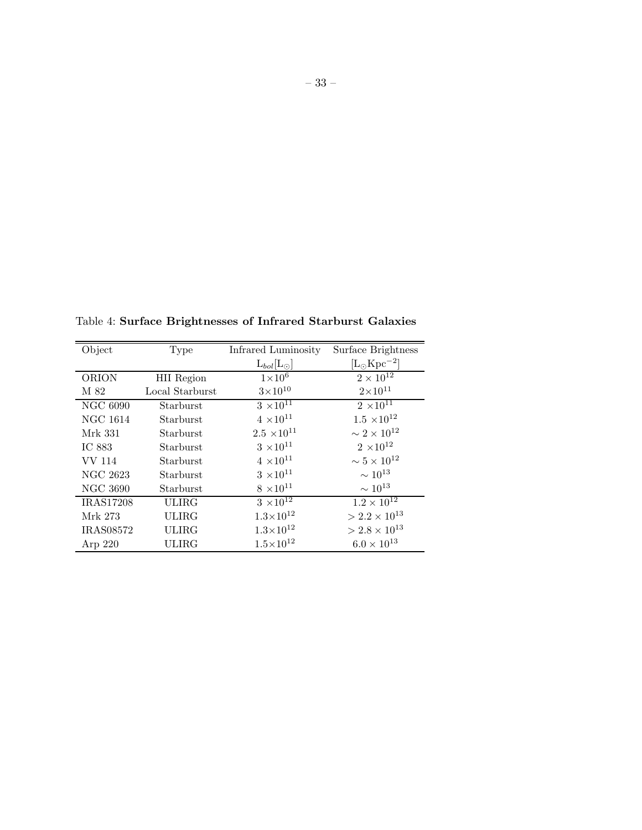Table 4: Surface Brightnesses of Infrared Starburst Galaxies

| Object           | <b>Type</b>       | Infrared Luminosity           | Surface Brightness         |
|------------------|-------------------|-------------------------------|----------------------------|
|                  |                   | $L_{bol}[L_{\odot}]$          | $[L_{\odot} \rm Kpc^{-2}]$ |
| <b>ORION</b>     | <b>HII</b> Region | $1\times10^6$                 | $2 \times 10^{12}$         |
| M 82             | Local Starburst   | $3 \times 10^{10}$            | $2 \times 10^{11}$         |
| <b>NGC 6090</b>  | Starburst         | $3 \times 10^{1\overline{1}}$ | $2 \times 10^{11}$         |
| <b>NGC 1614</b>  | Starburst         | $4 \times 10^{11}$            | $1.5 \times 10^{12}$       |
| Mrk 331          | Starburst         | $2.5 \times 10^{11}$          | $\sim 2\times 10^{12}$     |
| IC 883           | Starburst         | $3 \ \times 10^{11}$          | $2 \ \times 10^{12}$       |
| VV 114           | Starburst         | $4 \times 10^{11}$            | $\sim 5 \times 10^{12}$    |
| NGC 2623         | Starburst         | $3$ $\times 10^{11}$          | $\sim 10^{13}$             |
| <b>NGC 3690</b>  | Starburst         | $8 \times 10^{11}$            | $\sim 10^{13}$             |
| <b>IRAS17208</b> | <b>ULIRG</b>      | $3 \times 10^{12}$            | $1.2 \times 10^{12}$       |
| Mrk 273          | <b>ULIRG</b>      | $1.3{\times}10^{12}$          | $>2.2\times10^{13}$        |
| <b>IRAS08572</b> | ULIRG             | $1.3 \times 10^{12}$          | $>2.8\times10^{13}$        |
| Arp $220$        | ULIRG             | $1.5 \times 10^{12}$          | $6.0 \times 10^{13}$       |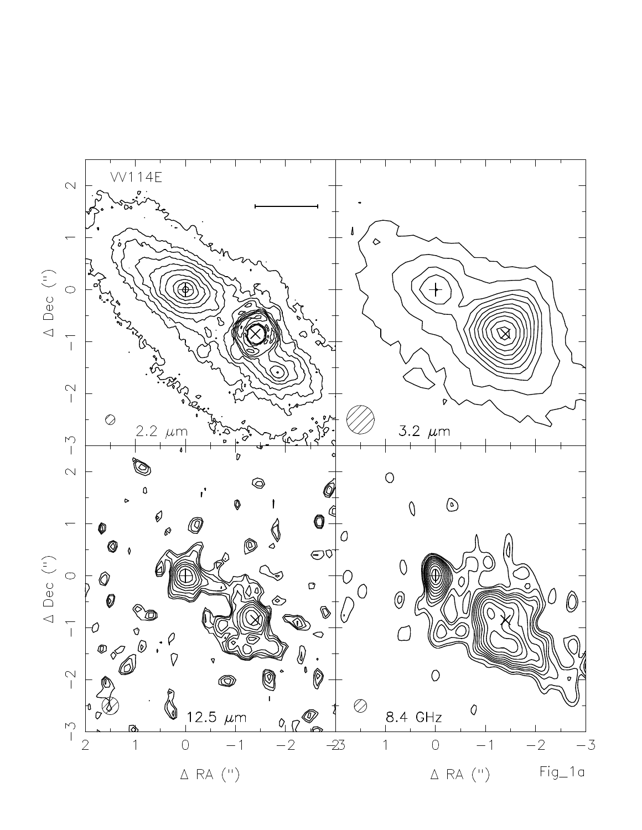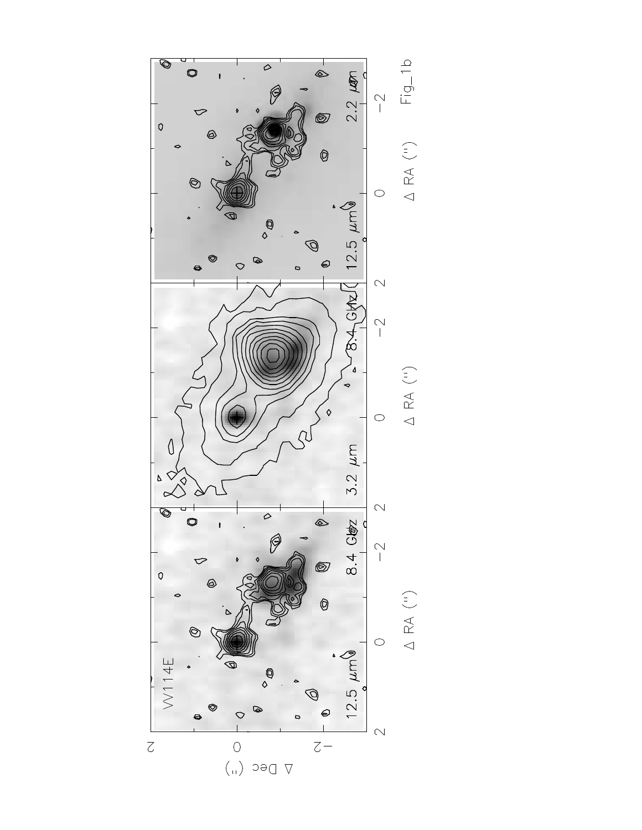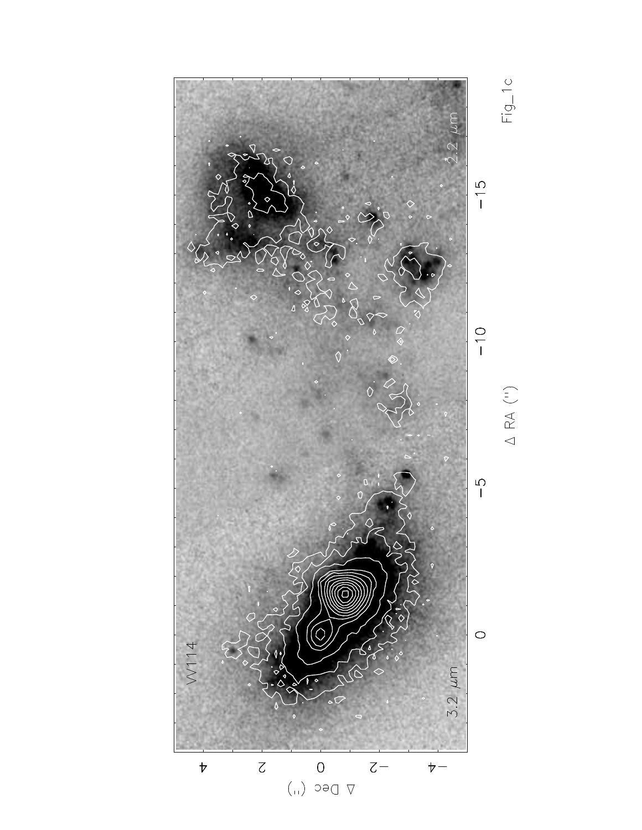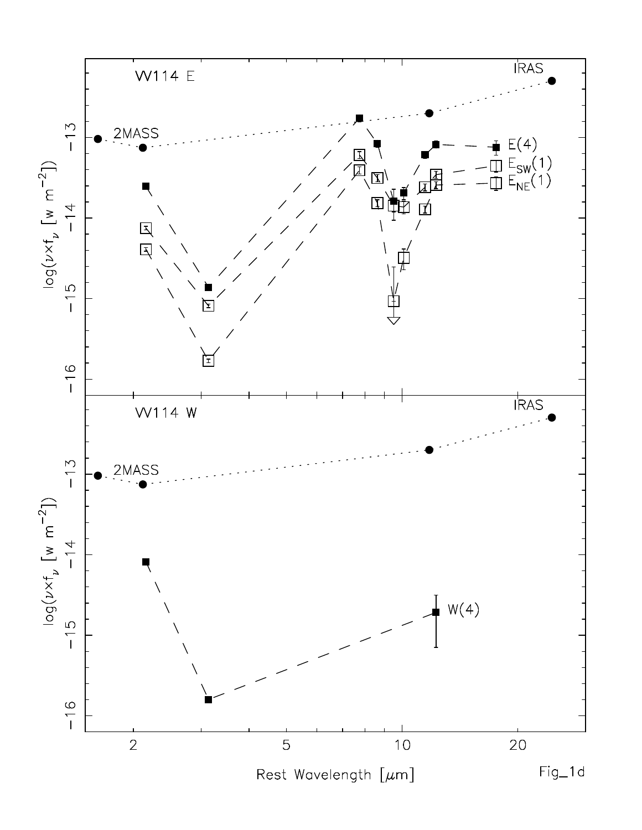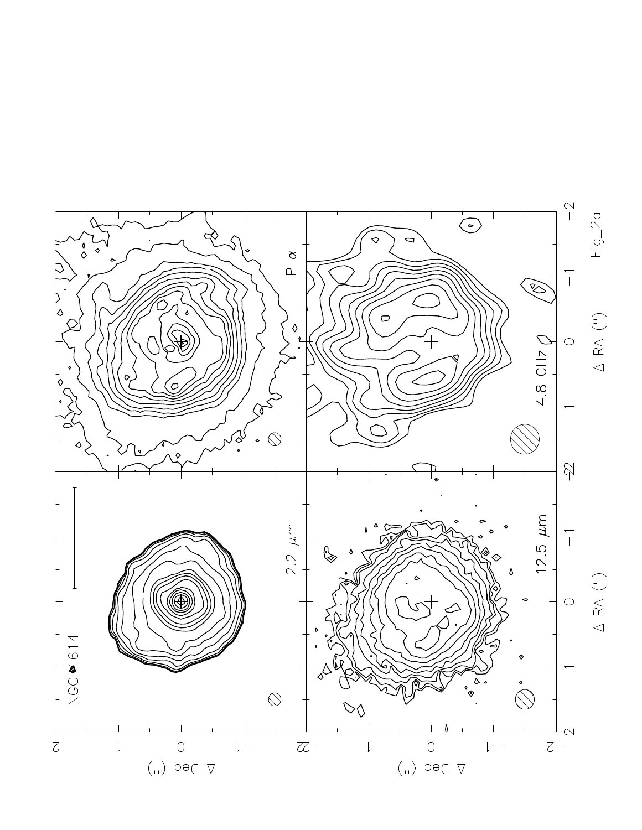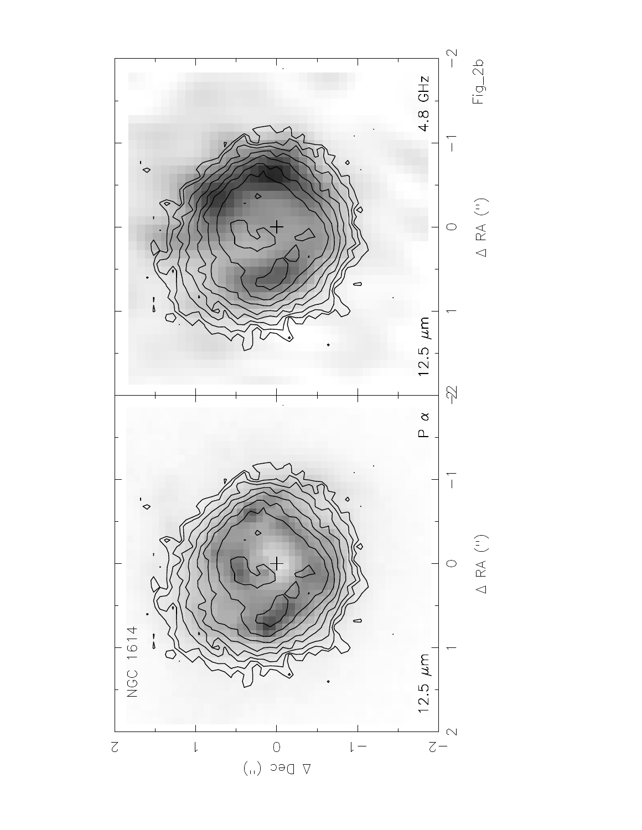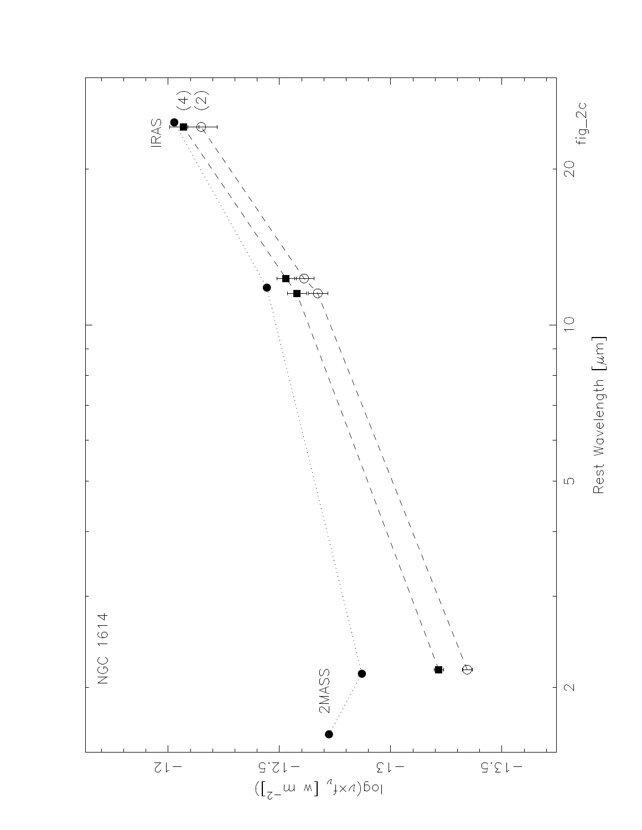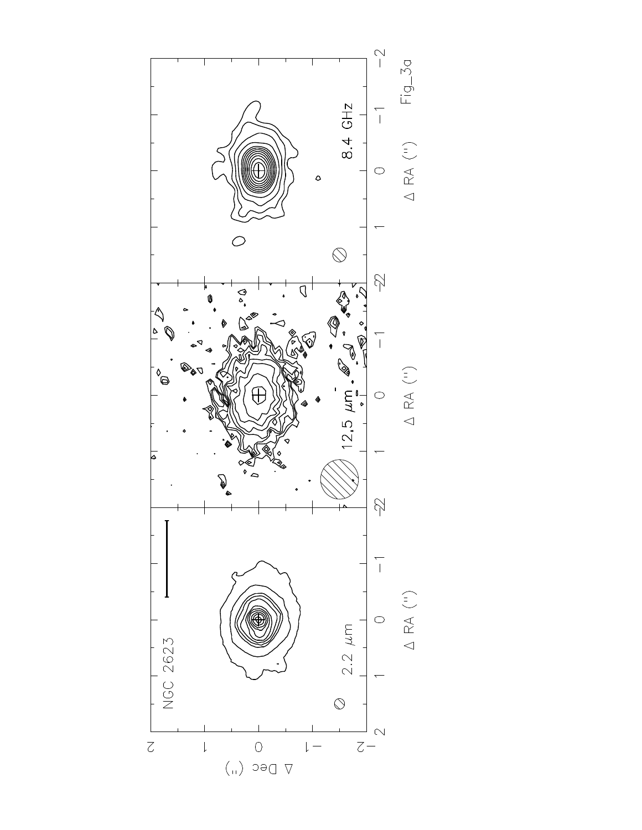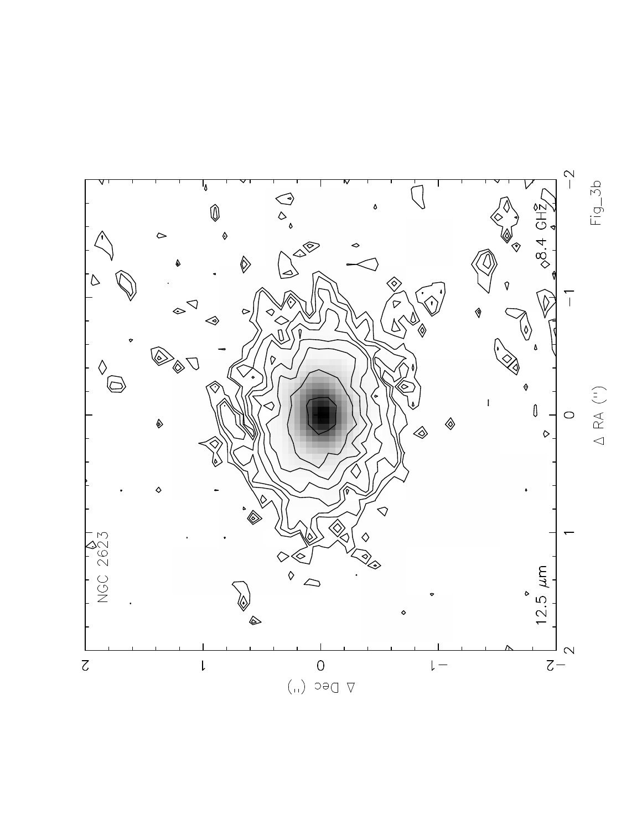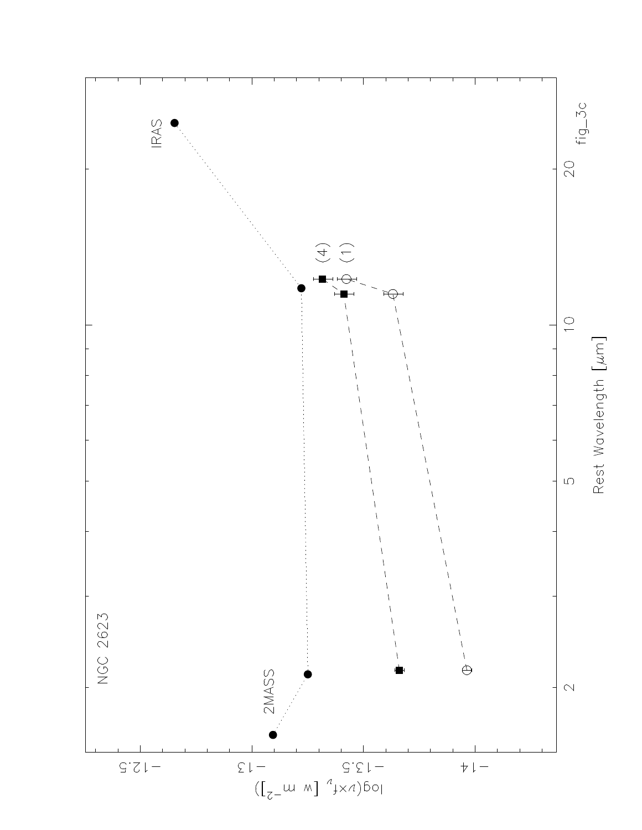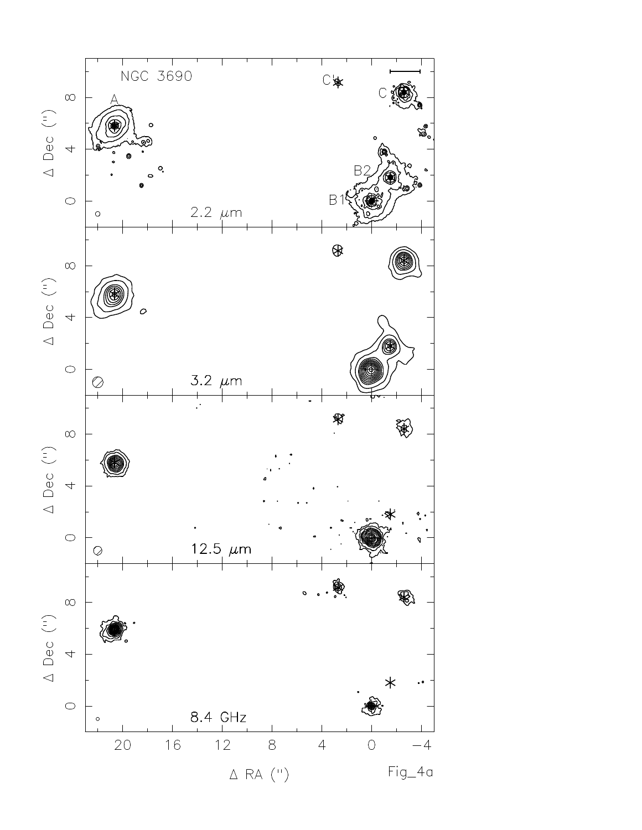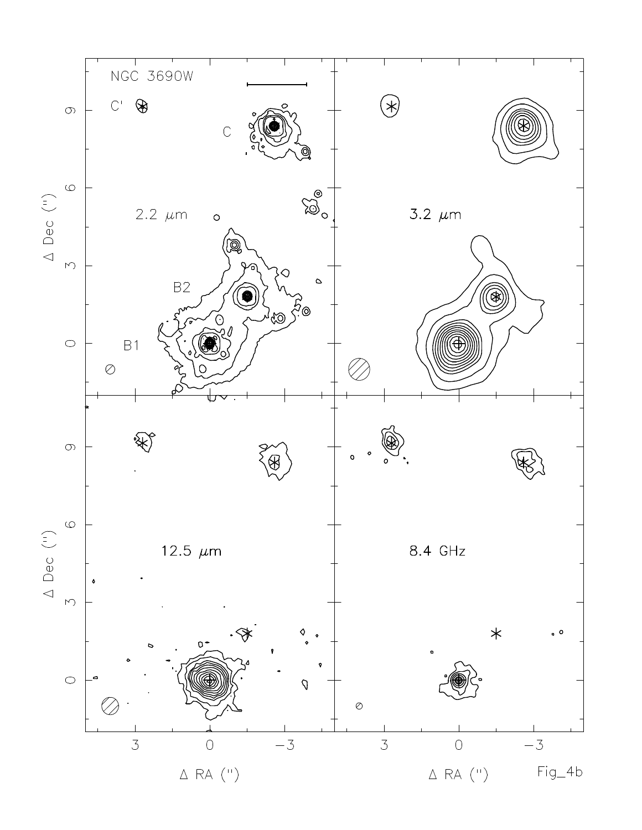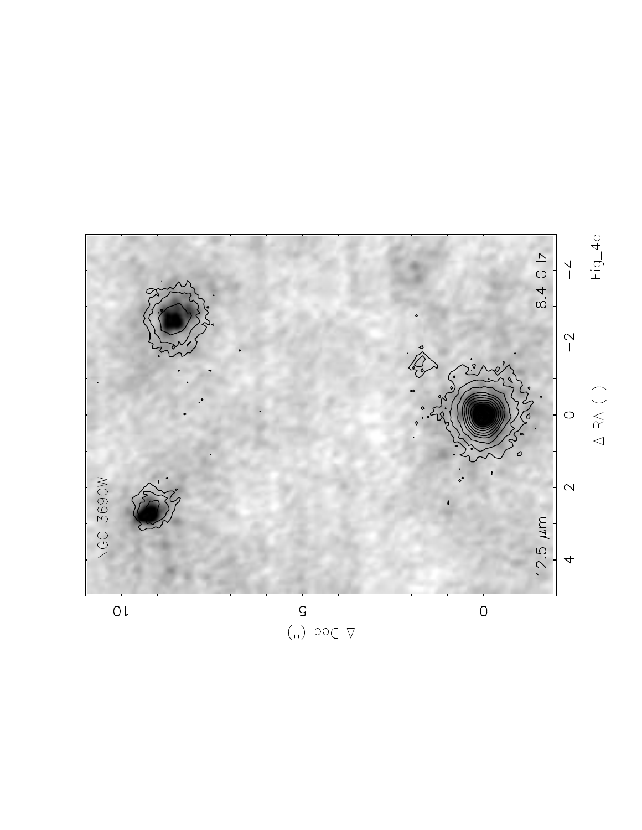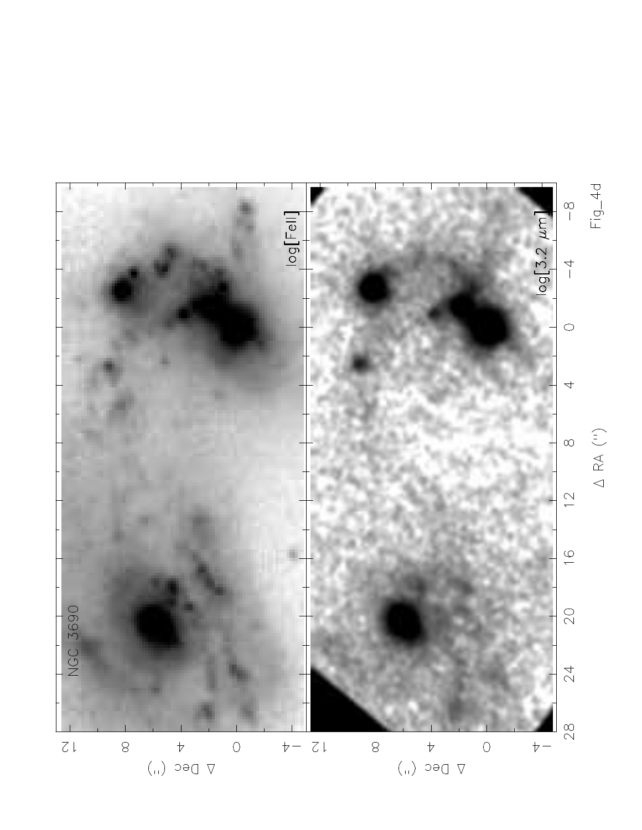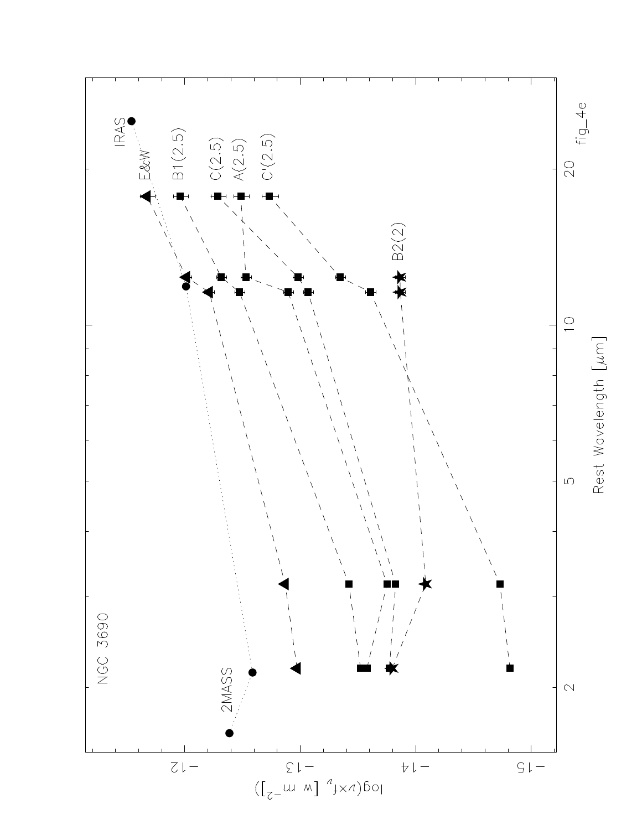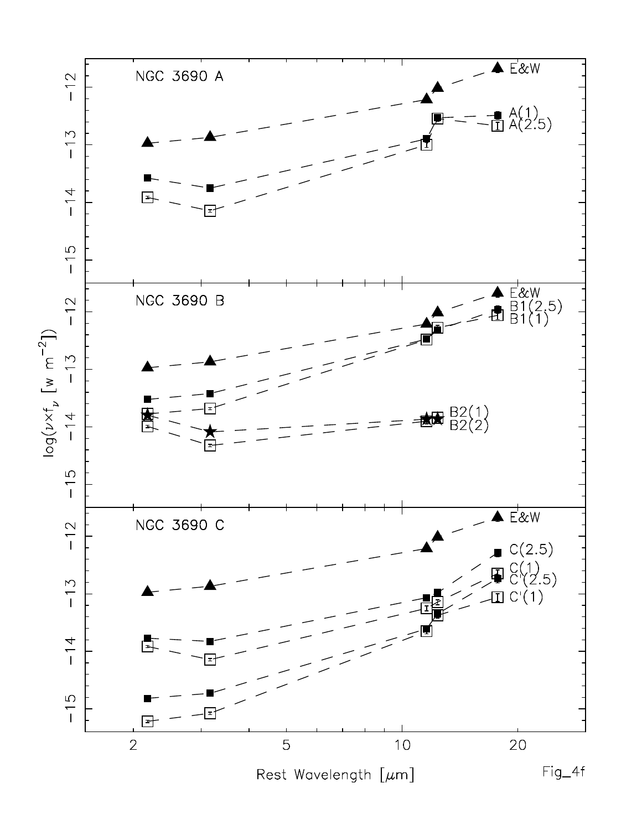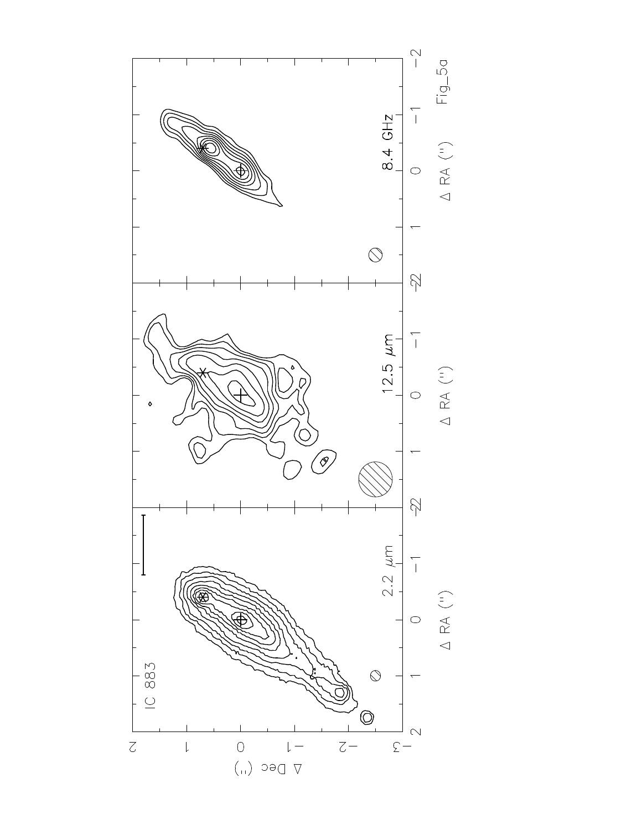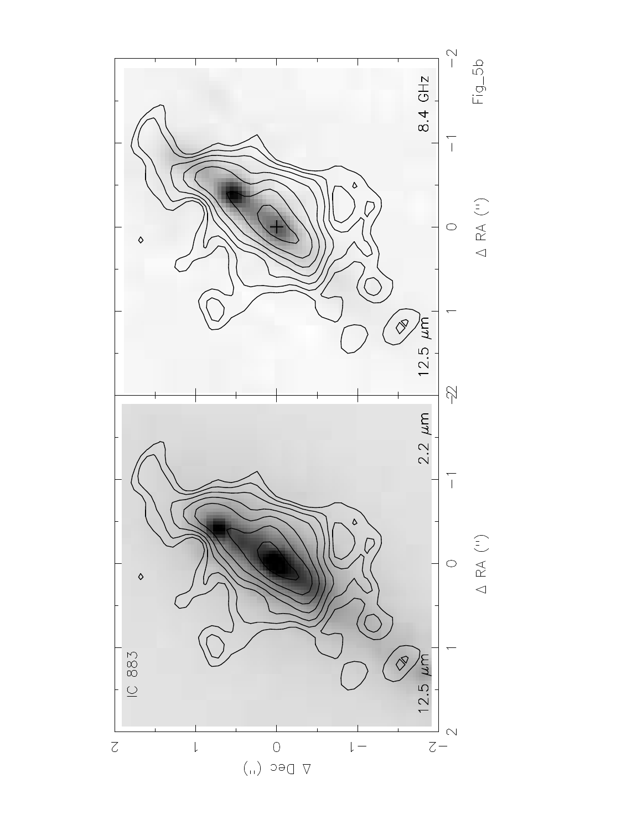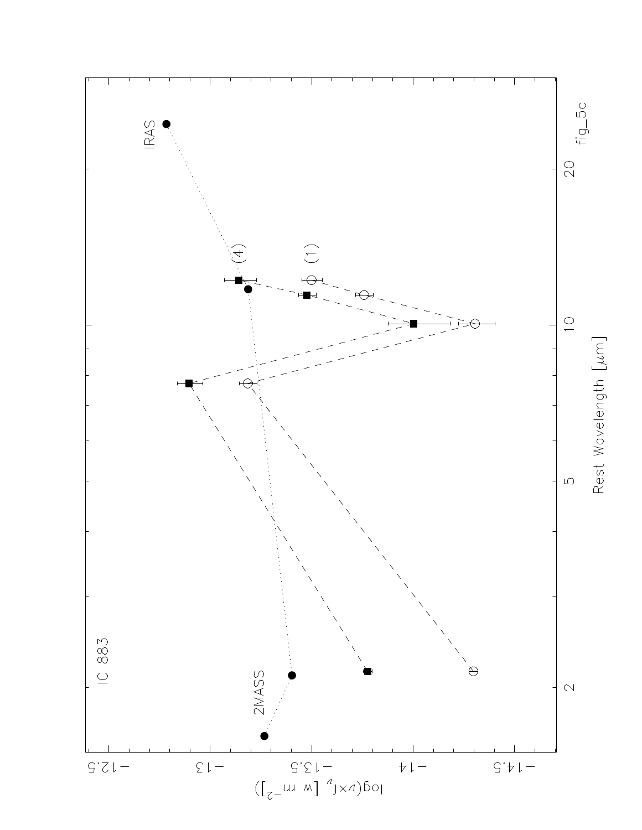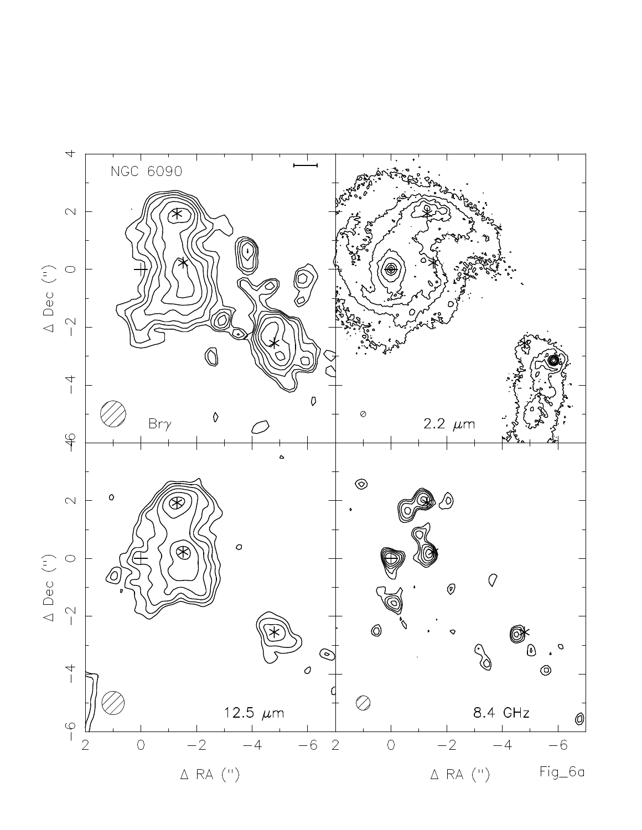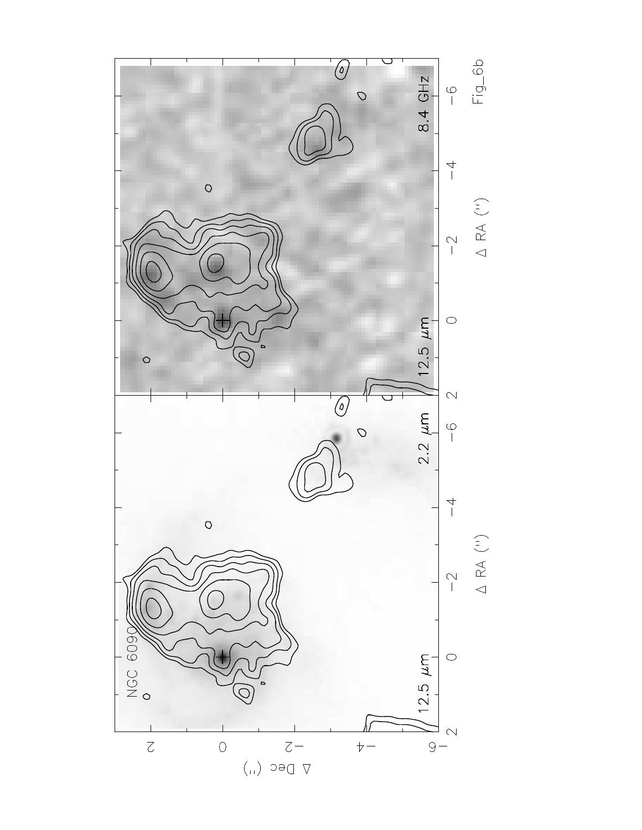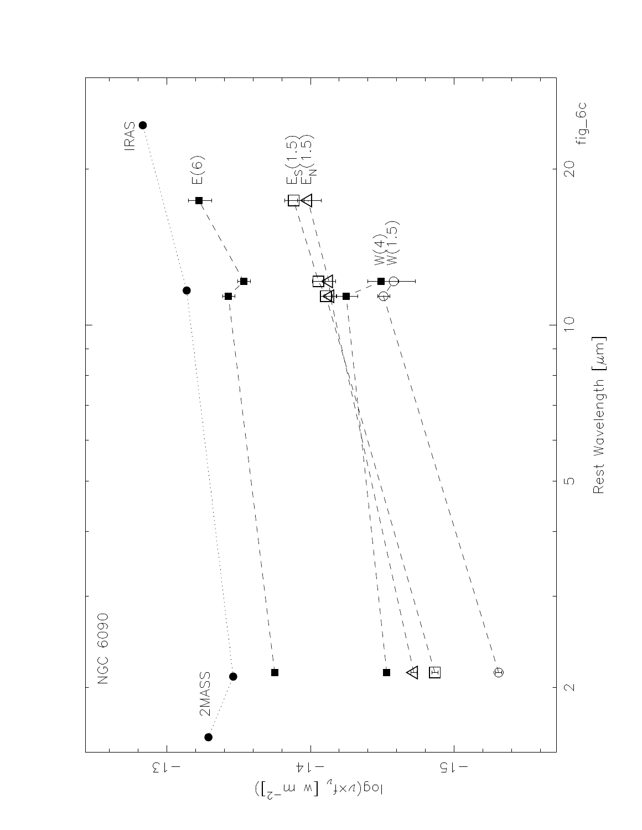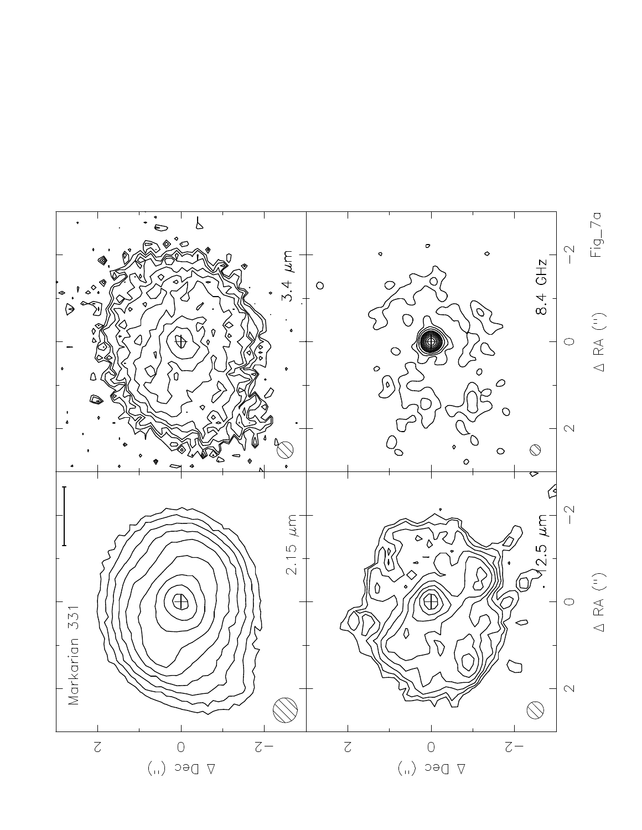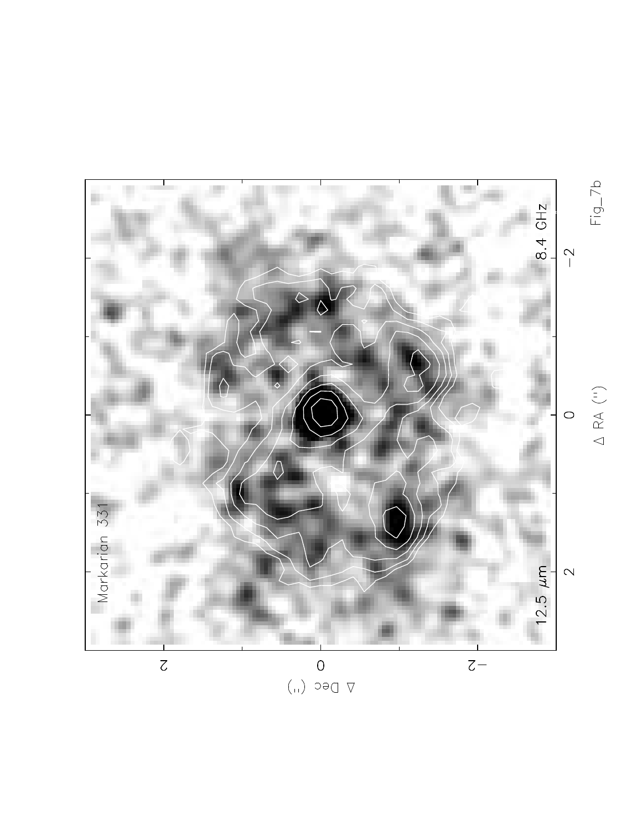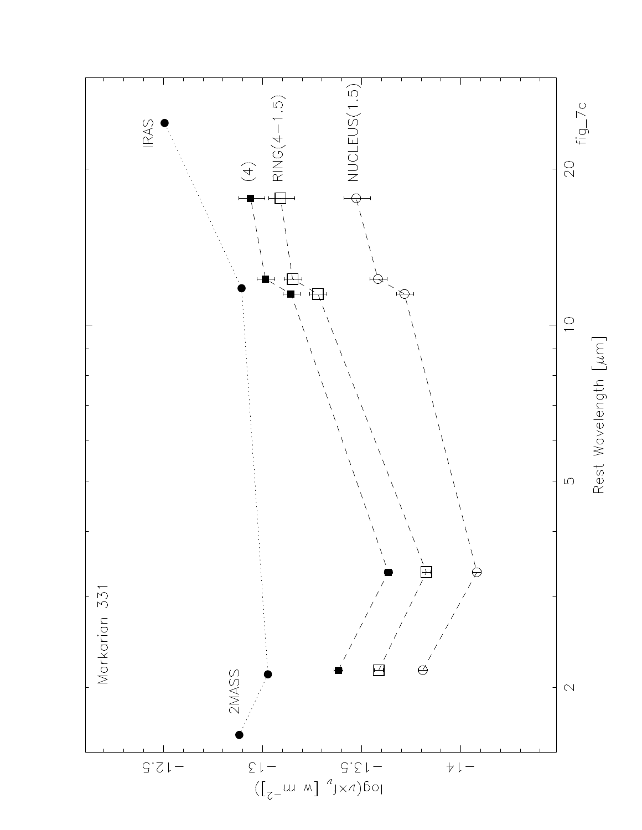